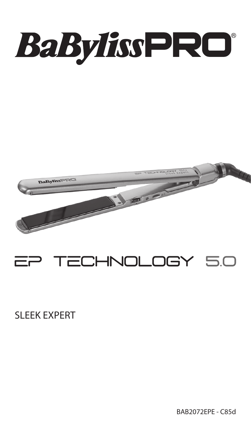



# TECHNOLOGY 5.0

SLEEK EXPERT

BAB2072EPE - C85d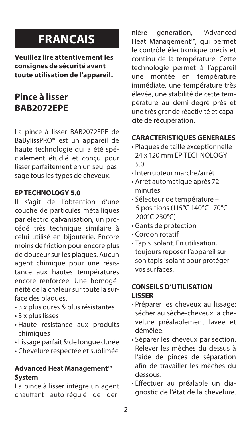# **FRANCAIS**

**Veuillez lire attentivement les consignes de sécurité avant toute utilisation de l'appareil.** 

## **Pince à lisser BAB2072EPE**

La pince à lisser BAB2072EPE de BaBylissPRO® est un appareil de haute technologie qui a été spécialement étudié et conçu pour lisser parfaitement en un seul passage tous les types de cheveux.

#### **EP TECHNOLOGY 5.0**

Il s'agit de l'obtention d'une couche de particules métalliques par électro galvanisation, un procédé très technique similaire à celui utilisé en bijouterie. Encore moins de friction pour encore plus de douceur sur les plaques. Aucun agent chimique pour une résistance aux hautes températures encore renforcée. Une homogénéité de la chaleur sur toute la surface des plaques.

- 3 x plus dures & plus résistantes
- 3 x plus lisses
- Haute résistance aux produits chimiques
- Lissage parfait & de longue durée
- Chevelure respectée et sublimée

#### **Advanced Heat Management™ System**

La pince à lisser intègre un agent chauffant auto-régulé de dernière génération, l'Advanced Heat Management™, qui permet le contrôle électronique précis et continu de la température. Cette technologie permet à l'appareil<br>une montée en température montée en température immédiate, une température très élevée, une stabilité de cette température au demi-degré près et une très grande réactivité et capacité de récupération.

#### **CARACTERISTIQUES GENERALES**

- Plaques de taille exceptionnelle 24 x 120 mm EP TECHNOLOGY 5.0
- Interrupteur marche/arrêt
- Arrêt automatique après 72 minutes
- Sélecteur de température 5 positions (115°C-140°C-170°C-200°C-230°C)
- Gants de protection
- Cordon rotatif
- Tapis isolant. En utilisation, toujours reposer l'appareil sur son tapis isolant pour protéger vos surfaces.

#### **CONSEILS D'UTILISATION LISSER**

- Préparer les cheveux au lissage: sécher au sèche-cheveux la chevelure préalablement lavée et démêlée.
- Séparer les cheveux par section. Relever les mèches du dessus à l'aide de pinces de séparation afin de travailler les mèches du dessous.
- Effectuer au préalable un diagnostic de l'état de la chevelure.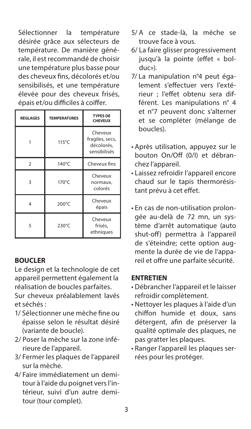Sélectionner la température désirée grâce aux sélecteurs de température. De manière générale, il est recommandé de choisir une température plus basse pour des cheveux fins, décolorés et/ou sensibilisés, et une température élevée pour des cheveux frisés, épais et/ou difficiles à coiffer.

| <b>RÉGLAGES</b> | <b>TEMPERATURES</b> | <b>TYPES DE</b><br><b>CHEVEUX</b>                        |
|-----------------|---------------------|----------------------------------------------------------|
|                 | 115°C               | Cheveux<br>fragiles, secs,<br>décolorés.<br>sensibilisés |
| $\mathcal{P}$   | 140°C               | Cheveux fins                                             |
| 3               | 170°C               | Cheveux<br>normaux,<br>colorés                           |
| 4               | 200°C               | Cheveux<br>épais                                         |
| 5               | 230°C               | Cheveux<br>frisés,<br>ethniques                          |

#### **BOUCLER**

Le design et la technologie de cet appareil permettent également la réalisation de boucles parfaites. Sur cheveux préalablement lavés et séchés :

- 1/ Sélectionner une mèche fine ou épaisse selon le résultat désiré (variante de boucle).
- 2/ Poser la mèche sur la zone inférieure de l'appareil.
- 3/ Fermer les plaques de l'appareil sur la mèche.
- 4/ Faire immédiatement un demitour à l'aide du poignet vers l'intérieur, suivi d'un autre demitour (tour complet).
- 5/ A ce stade-là, la mèche se trouve face à vous.
- 6/ La faire glisser progressivement jusqu'à la pointe (effet « bolduc»).
- 7/ La manipulation n°4 peut également s'effectuer vers l'extérieur ; l'effet obtenu sera différent. Les manipulations n° 4 et n°7 peuvent donc s'alterner et se compléter (mélange de boucles).
- Après utilisation, appuyez sur le bouton On/Off (0/I) et débranchez l'appareil.
- Laissez refroidir l'appareil encore chaud sur le tapis thermorésistant prévu à cet effet.
- En cas de non-utilisation prolongée au-delà de 72 mn, un système d'arrêt automatique (auto shut-off) permettra à l'appareil de s'éteindre; cette option augmente la durée de vie de l'appareil et offre une parfaite sécurité.

#### **ENTRETIEN**

- Débrancher l'appareil et le laisser refroidir complètement.
- Nettoyer les plaques à l'aide d'un chiffon humide et doux, sans détergent, afin de préserver la qualité optimale des plaques, ne pas gratter les plaques.
- Ranger l'appareil les plaques serrées pour les protéger.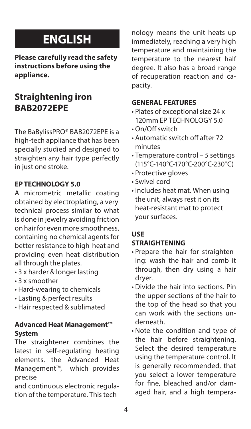# **ENGLISH**

**Please carefully read the safety instructions before using the appliance.** 

# **Straightening iron BAB2072EPE**

The BaBylissPRO® BAB2072EPE is a high-tech appliance that has been specially studied and designed to straighten any hair type perfectly in just one stroke.

#### **EP TECHNOLOGY 5.0**

A micrometric metallic coating obtained by electroplating, a very technical process similar to what is done in jewelry avoiding friction on hair for even more smoothness, containing no chemical agents for better resistance to high-heat and providing even heat distribution all through the plates.

- 3 x harder & longer lasting
- 3 x smoother
- Hard-wearing to chemicals
- Lasting & perfect results
- Hair respected & sublimated

### **Advanced Heat Management™ System**

The straightener combines the latest in self-regulating heating elements, the Advanced Heat Management™, which provides precise

and continuous electronic regulation of the temperature. This technology means the unit heats up immediately, reaching a very high temperature and maintaining the temperature to the nearest half degree. It also has a broad range of recuperation reaction and capacity.

#### **GENERAL FEATURES**

- Plates of exceptional size 24 x 120mm EP TECHNOLOGY 5.0
- On/Off switch
- Automatic switch off after 72 minutes
- Temperature control 5 settings (115°C-140°C-170°C-200°C-230°C)
- Protective gloves
- Swivel cord
- Includes heat mat. When using the unit, always rest it on its heat-resistant mat to protect your surfaces.

## **USE**

### **STRAIGHTENING**

- Prepare the hair for straightening: wash the hair and comb it through, then dry using a hair dryer.
- Divide the hair into sections. Pin the upper sections of the hair to the top of the head so that you can work with the sections underneath.
- Note the condition and type of the hair before straightening. Select the desired temperature using the temperature control. It is generally recommended, that you select a lower temperature for fine, bleached and/or damaged hair, and a high tempera-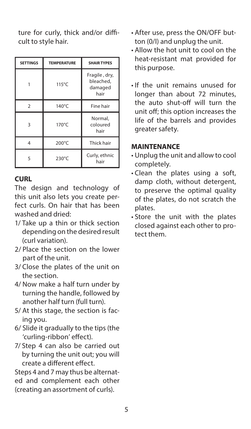ture for curly, thick and/or difficult to style hair.

| <b>SETTINGS</b> | <b>TEMPERATURE</b> | <b>SHAIR TYPES</b>                            |
|-----------------|--------------------|-----------------------------------------------|
|                 | 115°C              | Fragile, dry,<br>bleached,<br>damaged<br>hair |
| $\mathcal{P}$   | 140°C              | Fine hair                                     |
| 3               | 170°C              | Normal,<br>coloured<br>hair                   |
| 4               | 200°C              | Thick hair                                    |
| 5               | 230°C              | Curly, ethnic<br>hair                         |

## **CURL**

The design and technology of this unit also lets you create perfect curls. On hair that has been washed and dried:

- 1/ Take up a thin or thick section depending on the desired result (curl variation).
- 2/ Place the section on the lower part of the unit.
- 3/ Close the plates of the unit on the section.
- 4/ Now make a half turn under by turning the handle, followed by another half turn (full turn).
- 5/ At this stage, the section is facing you.
- 6/ Slide it gradually to the tips (the 'curling-ribbon' effect).
- 7/ Step 4 can also be carried out by turning the unit out; you will create a different effect.

Steps 4 and 7 may thus be alternated and complement each other (creating an assortment of curls).

- After use, press the ON/OFF button (0/I) and unplug the unit.
- Allow the hot unit to cool on the heat-resistant mat provided for this purpose.
- If the unit remains unused for longer than about 72 minutes, the auto shut-off will turn the unit off; this option increases the life of the barrels and provides greater safety.

### **MAINTENANCE**

- Unplug the unit and allow to cool completely.
- Clean the plates using a soft, damp cloth, without detergent, to preserve the optimal quality of the plates, do not scratch the plates.
- Store the unit with the plates closed against each other to protect them.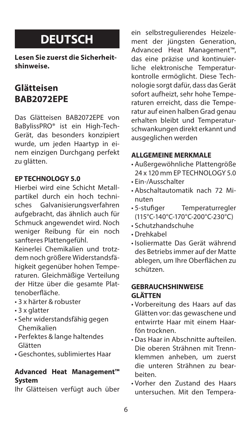# **DEUTSCH**

**Lesen Sie zuerst die Sicherheitshinweise.** 

# **Glätteisen BAB2072EPE**

Das Glätteisen BAB2072EPE von BaBylissPRO® ist ein High-Tech-Gerät, das besonders konzipiert wurde, um jeden Haartyp in einem einzigen Durchgang perfekt zu glätten.

### **EP TECHNOLOGY 5.0**

Hierbei wird eine Schicht Metallpartikel durch ein hoch technisches Galvanisierungsverfahren aufgebracht, das ähnlich auch für Schmuck angewendet wird. Noch weniger Reibung für ein noch sanfteres Plattengefühl.

Keinerlei Chemikalien und trotzdem noch größere Widerstandsfähigkeit gegenüber hohen Temperaturen. Gleichmäßige Verteilung der Hitze über die gesamte Plattenoberfläche.

- 3 x härter & robuster
- 3 x glatter
- Sehr widerstandsfähig gegen Chemikalien
- Perfektes & lange haltendes Glätten
- Geschontes, sublimiertes Haar

#### **Advanced Heat Management™ System**

Ihr Glätteisen verfügt auch über

ein selbstregulierendes Heizelement der jüngsten Generation, Advanced Heat Management™, das eine präzise und kontinuierliche elektronische Temperaturkontrolle ermöglicht. Diese Technologie sorgt dafür, dass das Gerät sofort aufheizt, sehr hohe Temperaturen erreicht, dass die Temperatur auf einen halben Grad genau erhalten bleibt und Temperaturschwankungen direkt erkannt und ausgeglichen werden

#### **ALLGEMEINE MERKMALE**

- Außergewöhnliche Plattengröße 24 x 120 mm EP TECHNOLOGY 5.0
- Ein-/Ausschalter
- Abschaltautomatik nach 72 Minuten
- 5-stufiger Temperaturregler (115°C-140°C-170°C-200°C-230°C)
- Schutzhandschuhe
- Drehkabel
- Isoliermatte Das Gerät während des Betriebs immer auf der Matte ablegen, um Ihre Oberflächen zu schützen.

#### **GEBRAUCHSHINWEISE GLÄTTEN**

- Vorbereitung des Haars auf das Glätten vor: das gewaschene und entwirrte Haar mit einem Haarfön trocknen.
- Das Haar in Abschnitte aufteilen. Die oberen Strähnen mit Trennklemmen anheben, um zuerst die unteren Strähnen zu bearbeiten.
- Vorher den Zustand des Haars untersuchen. Mit den Tempera-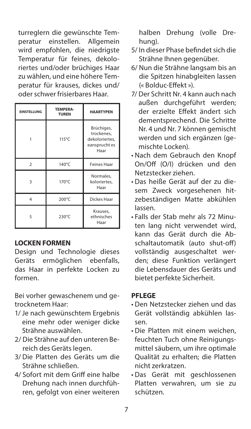turreglern die gewünschte Temperatur einstellen. Allgemein wird empfohlen, die niedrigste Temperatur für feines, dekoloriertes und/oder brüchiges Haar zu wählen, und eine höhere Temperatur für krauses, dickes und/ .<br>oder schwer frisierbares Haar.

| <b>EINSTELLUNG</b> | TEMPERA-<br><b>TUREN</b> | <b>HAARTYPEN</b>                                                    |
|--------------------|--------------------------|---------------------------------------------------------------------|
|                    | 115°C                    | Brüchiges,<br>trockenes.<br>dekoloriertes.<br>eansprucht es<br>Haar |
| $\overline{2}$     | 140°C                    | <b>Feines Haar</b>                                                  |
| 3                  | 170°C                    | Normales.<br>koloriertes,<br>Haar                                   |
| 4                  | 200°C                    | Dickes Haar                                                         |
| 5                  | 230°C                    | Krauses,<br>ethnisches<br>Haar                                      |

#### **LOCKEN FORMEN**

Design und Technologie dieses Geräts ermöglichen ebenfalls, das Haar in perfekte Locken zu formen.

Bei vorher gewaschenem und getrocknetem Haar:

- 1/ Je nach gewünschtem Ergebnis eine mehr oder weniger dicke Strähne auswählen.
- 2/ Die Strähne auf den unteren Bereich des Geräts legen.
- 3/ Die Platten des Geräts um die Strähne schließen.
- 4/ Sofort mit dem Griff eine halbe Drehung nach innen durchführen, gefolgt von einer weiteren

halben Drehung (volle Drehung).

- 5/ In dieser Phase befindet sich die Strähne Ihnen gegenüber.
- 6/ Nun die Strähne langsam bis an die Spitzen hinabgleiten lassen (« Bolduc-Effekt »).
- 7/ Der Schritt Nr. 4 kann auch nach außen durchgeführt werden; der erzielte Effekt ändert sich dementsprechend. Die Schritte Nr. 4 und Nr. 7 können gemischt werden und sich ergänzen (gemischte Locken).
- Nach dem Gebrauch den Knopf On/Off (O/I) drücken und den Netzstecker ziehen.
- Das heiße Gerät auf der zu diesem Zweck vorgesehenen hitzebeständigen Matte abkühlen lassen.
- Falls der Stab mehr als 72 Minuten lang nicht verwendet wird, kann das Gerät durch die Abschaltautomatik (auto shut-off) vollständig ausgeschaltet werden; diese Funktion verlängert die Lebensdauer des Geräts und bietet perfekte Sicherheit.

### **PFLEGE**

- Den Netzstecker ziehen und das Gerät vollständig abkühlen lassen.
- Die Platten mit einem weichen, feuchten Tuch ohne Reinigungsmittel säubern, um ihre optimale Qualität zu erhalten; die Platten nicht zerkratzen.
- Das Gerät mit geschlossenen Platten verwahren, um sie zu schützen.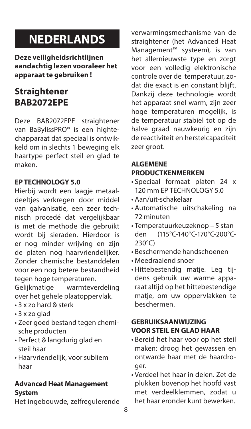# **NEDERLANDS**

**Deze veiligheidsrichtlijnen aandachtig lezen vooraleer het apparaat te gebruiken !**

# **Straightener BAB2072EPE**

Deze BAB2072EPE straightener van BaBylissPRO® is een hightechapparaat dat speciaal is ontwikkeld om in slechts 1 beweging elk haartype perfect steil en glad te maken.

### **EP TECHNOLOGY 5.0**

Hierbij wordt een laagje metaaldeelties verkregen door middel van galvanisatie, een zeer technisch procedé dat vergelijkbaar is met de methode die gebruikt wordt bij sieraden. Hierdoor is er nog minder wrijving en zijn de platen nog haarvriendelijker. Zonder chemische bestanddelen voor een nog betere bestandheid tegen hoge temperaturen.<br>Geliikmatige warmteve

warmteverdeling over het gehele plaatoppervlak.

- 3 x zo hard & sterk
- 3 x zo glad
- Zeer goed bestand tegen chemische producten
- Perfect & langdurig glad en steil haar
- Haarvriendelijk, voor subliem haar

# **Advanced Heat Management**

### **System**

Het ingebouwde, zelfregulerende

verwarmingsmechanisme van de straightener (het Advanced Heat Management™ systeem), is van het allernieuwste type en zorgt voor een volledig elektronische controle over de temperatuur, zodat die exact is en constant blijft. Dankzij deze technologie wordt het apparaat snel warm, zijn zeer hoge temperaturen mogelijk, is de temperatuur stabiel tot op de halve graad nauwkeurig en zijn de reactiviteit en herstelcapaciteit zeer groot.

### **ALGEMENE PRODUCTKENMERKEN**

- Speciaal formaat platen 24 x 120 mm EP TECHNOLOGY 5.0
- Aan/uit-schakelaar
- Automatische uitschakeling na 72 minuten
- Temperatuurkeuzeknop 5 standen (115°C-140°C-170°C-200°C-230°C)
- Beschermende handschoenen
- Meedraaiend snoer
- Hittebestendig matje. Leg tijdens gebruik uw warme apparaat altijd op het hittebestendige matje, om uw oppervlakken te beschermen.

### **GEBRUIKSAANWIJZING VOOR STEIL EN GLAD HAAR**

- Bereid het haar voor op het steil maken: droog het gewassen en ontwarde haar met de haardroger.
- Verdeel het haar in delen. Zet de plukken bovenop het hoofd vast met verdeelklemmen, zodat u het haar eronder kunt bewerken.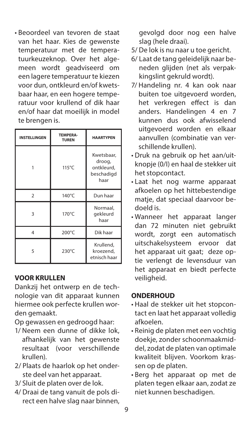• Beoordeel van tevoren de staat van het haar. Kies de gewenste temperatuur met de temperatuurkeuzeknop. Over het algemeen wordt geadviseerd om een lagere temperatuur te kiezen voor dun, ontkleurd en/of kwetsbaar haar, en een hogere temperatuur voor krullend of dik haar en/of haar dat moeilijk in model te brengen is.

| <b>INSTELLINGEN</b> | <b>TEMPERA-</b><br><b>TUREN</b> | <b>HAARTYPEN</b>                                         |
|---------------------|---------------------------------|----------------------------------------------------------|
|                     | 115°C                           | Kwetsbaar,<br>droog,<br>ontkleurd.<br>beschadigd<br>haar |
| $\mathfrak{p}$      | 140°C                           | Dun haar                                                 |
| 3                   | 170°C                           | Normaal,<br>gekleurd<br>haar                             |
| 4                   | 200°C                           | Dik haar                                                 |
| 5                   | 230°C                           | Krullend,<br>kroezend,<br>etnisch haar                   |

#### **VOOR KRULLEN**

Dankzij het ontwerp en de technologie van dit apparaat kunnen hiermee ook perfecte krullen worden gemaakt.

Op gewassen en gedroogd haar:

- 1/ Neem een dunne of dikke lok, afhankelijk van het gewenste resultaat (voor verschillende krullen).
- 2/ Plaats de haarlok op het onderste deel van het apparaat.
- 3/ Sluit de platen over de lok.
- 4/ Draai de tang vanuit de pols direct een halve slag naar binnen,

gevolgd door nog een halve slag (hele draai).

- 5/ De lok is nu naar u toe gericht.
- 6/ Laat de tang geleidelijk naar beneden glijden (net als verpakkingslint gekruld wordt).
- 7/ Handeling nr. 4 kan ook naar buiten toe uitgevoerd worden, het verkregen effect is dan anders. Handelingen 4 en 7 kunnen dus ook afwisselend uitgevoerd worden en elkaar aanvullen (combinatie van verschillende krullen).
- Druk na gebruik op het aan/uitknopje (0/I) en haal de stekker uit het stopcontact.
- Laat het nog warme apparaat afkoelen op het hittebestendige matie, dat speciaal daarvoor bedoeld is.
- Wanneer het apparaat langer dan 72 minuten niet gebruikt wordt, zorgt een automatisch uitschakelsysteem ervoor dat het apparaat uit gaat; deze optie verlengt de levensduur van het apparaat en biedt perfecte veiligheid.

## **ONDERHOUD**

- Haal de stekker uit het stopcontact en laat het apparaat volledig afkoelen.
- Reinig de platen met een vochtig doekje, zonder schoonmaakmiddel, zodat de platen van optimale kwaliteit blijven. Voorkom krassen op de platen.
- Berg het apparaat op met de platen tegen elkaar aan, zodat ze niet kunnen beschadigen.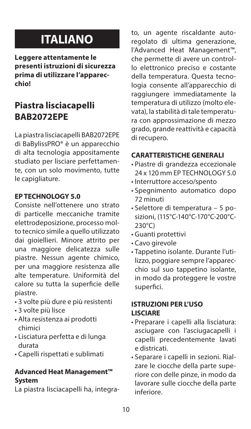# **ITALIANO**

**Leggere attentamente le presenti istruzioni di sicurezza prima di utilizzare l'apparecchio!** 

# **Piastra lisciacapelli BAB2072EPE**

La piastra lisciacapelli BAB2072EPE di BaBylissPRO® è un apparecchio di alta tecnologia appositamente studiato per lisciare perfettamente, con un solo movimento, tutte le capigliature.

### **EP TECHNOLOGY 5.0**

Consiste nell'ottenere uno strato di particelle meccaniche tramite elettrodeposizione, processo molto tecnico simile a quello utilizzato dai gioiellieri. Minore attrito per una maggiore delicatezza sulle piastre. Nessun agente chimico, per una maggiore resistenza alle alte temperature. Uniformità del calore su tutta la superficie delle piastre.

- 3 volte più dure e più resistenti
- 3 volte più lisce
- Alta resistenza ai prodotti chimici
- Lisciatura perfetta e di lunga durata
- Capelli rispettati e sublimati

#### **Advanced Heat Management™ System**

La piastra lisciacapelli ha, integra-

to, un agente riscaldante autoregolato di ultima generazione, l'Advanced Heat Management™, che permette di avere un controllo elettronico preciso e costante della temperatura. Questa tecnologia consente all'apparecchio di raggiungere immediatamente la temperatura di utilizzo (molto elevata), la stabilità di tale temperatura con approssimazione di mezzo grado, grande reattività e capacità di recupero.

### **CARATTERISTICHE GENERALI**

- Piastre di grandezza eccezionale 24 x 120 mm EP TECHNOLOGY 5.0
- Interruttore acceso/spento
- Spegnimento automatico dopo 72 minuti
- Selettore di temperatura 5 posizioni, (115°C-140°C-170°C-200°C-230°C)
- Guanti protettivi
- Cavo girevole
- Tappetino isolante. Durante l'utilizzo, poggiare sempre l'apparecchio sul suo tappetino isolante, in modo da proteggere le vostre superfici.

#### **ISTRUZIONI PER L'USO LISCIARE**

- Preparare i capelli alla lisciatura: asciugare con l'asciugacapelli i capelli precedentemente lavati e districati.
- Separare i capelli in sezioni. Rialzare le ciocche della parte superiore con delle pinze, in modo da lavorare sulle ciocche della parte inferiore.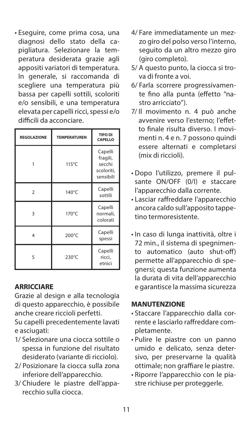• Eseguire, come prima cosa, una diagnosi dello stato della capigliatura. Selezionare la temperatura desiderata grazie agli appositi variatori di temperatura. In generale, si raccomanda di scegliere una temperatura più bassa per capelli sottili, scoloriti e/o sensibili, e una temperatura elevata per capelli ricci, spessi e/o difficili da acconciare.

| <b>REGOLAZIONE</b> | <b>TEMPERATUREN</b> | <b>TIPO DI</b><br>CAPELLO                                |
|--------------------|---------------------|----------------------------------------------------------|
|                    | $115^{\circ}$ C     | Capelli<br>fragili,<br>secchi<br>scoloriti,<br>sensibili |
| $\mathcal{P}$      | 140°C               | Capelli<br>sottili                                       |
| 3                  | 170°C               | Capelli<br>normali,<br>colorati                          |
| 4                  | 200°C               | Capelli<br>spessi                                        |
| 5                  | 230°C               | Capelli<br>ricci,<br>etnici                              |

### **ARRICCIARE**

Grazie al design e alla tecnologia di questo apparecchio, è possibile anche creare riccioli perfetti.

Su capelli precedentemente lavati e asciugati:

- 1/ Selezionare una ciocca sottile o spessa in funzione del risultato desiderato (variante di ricciolo).
- 2/ Posizionare la ciocca sulla zona inferiore dell'apparecchio.
- 3/ Chiudere le piastre dell'apparecchio sulla ciocca.
- 4/ Fare immediatamente un mezzo giro del polso verso l'interno, seguito da un altro mezzo giro (giro completo).
- 5/ A questo punto, la ciocca si trova di fronte a voi.
- 6/ Farla scorrere progressivamente fino alla punta (effetto "nastro arricciato").
- 7/ Il movimento n. 4 può anche avvenire verso l'esterno; l'effetto finale risulta diverso. I movimenti n. 4 e n. 7 possono quindi essere alternati e completarsi (mix di riccioli).
- Dopo l'utilizzo, premere il pulsante ON/OFF (0/I) e staccare l'apparecchio dalla corrente.
- Lasciar raffreddare l'apparecchio ancora caldo sull'apposito tappetino termoresistente.
- In caso di lunga inattività, oltre i 72 min., il sistema di spegnimento automatico (auto shut-off) permette all'apparecchio di spegnersi; questa funzione aumenta la durata di vita dell'apparecchio e garantisce la massima sicurezza

#### **MANUTENZIONE**

- Staccare l'apparecchio dalla corrente e lasciarlo raffreddare completamente.
- Pulire le piastre con un panno umido e delicato, senza detersivo, per preservarne la qualità ottimale; non graffiare le piastre.
- Riporre l'apparecchio con le piastre richiuse per proteggerle.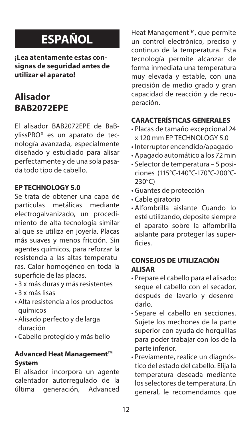# **ESPAÑOL**

**¡Lea atentamente estas consignas de seguridad antes de utilizar el aparato!** 

# **Alisador BAB2072EPE**

El alisador BAB2072EPE de BaBylissPRO® es un aparato de tecnología avanzada, especialmente diseñado y estudiado para alisar perfectamente y de una sola pasada todo tipo de cabello.

#### **EP TECHNOLOGY 5.0**

Se trata de obtener una capa de<br>partículas metálicas mediante partículas metálicas electrogalvanizado, un procedimiento de alta tecnología similar al que se utiliza en joyería. Placas más suaves y menos fricción. Sin agentes químicos, para reforzar la resistencia a las altas temperaturas. Calor homogéneo en toda la superficie de las placas.

- 3 x más duras y más resistentes
- 3 x más lisas
- Alta resistencia a los productos químicos
- Alisado perfecto y de larga duración
- Cabello protegido y más bello

### **Advanced Heat Management™ System**

El alisador incorpora un agente calentador autorregulado de la<br>última generación. Advanced última generación,

Heat Management™, que permite un control electrónico, preciso y continuo de la temperatura. Esta tecnología permite alcanzar de forma inmediata una temperatura muy elevada y estable, con una precisión de medio grado y gran capacidad de reacción y de recuperación.

#### **CARACTERÍSTICAS GENERALES**

- Placas de tamaño excepcional 24 x 120 mm EP TECHNOLOGY 5.0
- Interruptor encendido/apagado
- Apagado automático a los 72 min
- Selector de temperatura 5 posiciones (115°C-140°C-170°C-200°C-230°C)
- Guantes de protección
- Cable giratorio
- Alfombrilla aislante Cuando lo esté utilizando, deposite siempre el aparato sobre la alfombrilla aislante para proteger las superficies.

#### **CONSEJOS DE UTILIZACIÓN ALISAR**

- Prepare el cabello para el alisado: seque el cabello con el secador, después de lavarlo y desenredarlo.
- Separe el cabello en secciones. Sujete los mechones de la parte superior con ayuda de horquillas para poder trabajar con los de la parte inferior.
- Previamente, realice un diagnóstico del estado del cabello. Elija la temperatura deseada mediante los selectores de temperatura. En general, le recomendamos que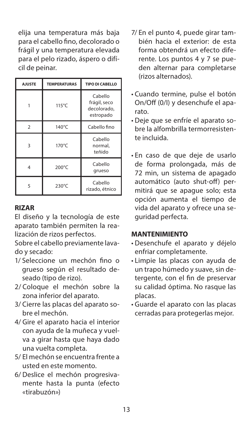elija una temperatura más baja para el cabello fino, decolorado o frágil y una temperatura elevada para el pelo rizado, áspero o difícil de peinar.

| <b>AJUSTE</b> | <b>TEMPERATURAS</b> | TIPO DI CABELLO                                     |
|---------------|---------------------|-----------------------------------------------------|
|               | $115^{\circ}$ C     | Cabello<br>frágil, seco<br>decolorado.<br>estropado |
| $\mathcal{P}$ | 140°C               | Cabello fino                                        |
| ঽ             | $170^{\circ}$ C     | Cabello<br>normal.<br>teñido                        |
| 4             | 200°C               | Cabello<br>grueso                                   |
| ς             | 230°C               | Cabello<br>rizado, étnico                           |

#### **RIZAR**

El diseño y la tecnología de este aparato también permiten la realización de rizos perfectos.

Sobre el cabello previamente lavado y secado:

- 1/ Seleccione un mechón fino o grueso según el resultado deseado (tipo de rizo).
- 2/ Coloque el mechón sobre la zona inferior del aparato.
- 3/ Cierre las placas del aparato sobre el mechón.
- 4/ Gire el aparato hacia el interior con ayuda de la muñeca y vuelva a girar hasta que haya dado una vuelta completa.
- 5/ El mechón se encuentra frente a usted en este momento.
- 6/ Deslice el mechón progresivamente hasta la punta (efecto «tirabuzón»)
- 7/ En el punto 4, puede girar también hacia el exterior: de esta forma obtendrá un efecto diferente. Los puntos 4 y 7 se pueden alternar para completarse (rizos alternados).
- Cuando termine, pulse el botón On/Off (0/I) y desenchufe el aparato.
- Deje que se enfríe el aparato sobre la alfombrilla termorresistente incluida.
- En caso de que deje de usarlo de forma prolongada, más de 72 min, un sistema de apagado automático (auto shut-off) permitirá que se apague solo; esta opción aumenta el tiempo de vida del aparato y ofrece una seguridad perfecta.

#### **MANTENIMIENTO**

- Desenchufe el aparato y déjelo enfriar completamente.
- Limpie las placas con ayuda de un trapo húmedo y suave, sin detergente, con el fin de preservar su calidad óptima. No rasque las placas.
- Guarde el aparato con las placas cerradas para protegerlas mejor.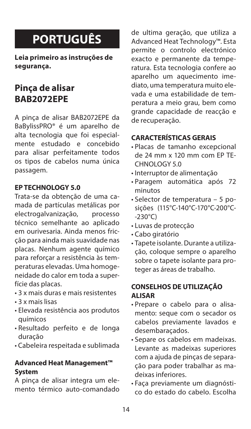# **PORTUGUÊS**

**Leia primeiro as instruções de segurança.** 

## **Pinça de alisar BAB2072EPE**

A pinça de alisar BAB2072EPE da BaBylissPRO® é um aparelho de alta tecnologia que foi especialmente estudado e concebido para alisar perfeitamente todos os tipos de cabelos numa única passagem.

#### **EP TECHNOLOGY 5.0**

Trata-se da obtenção de uma camada de partículas metálicas por electrogalvanização, processo técnico semelhante ao aplicado em ourivesaria. Ainda menos fricção para ainda mais suavidade nas placas. Nenhum agente químico para reforçar a resistência às temperaturas elevadas. Uma homogeneidade do calor em toda a superfície das placas.

- 3 x mais duras e mais resistentes
- 3 x mais lisas
- Elevada resistência aos produtos químicos
- Resultado perfeito e de longa duração
- Cabeleira respeitada e sublimada

#### **Advanced Heat Management™ System**

A pinça de alisar integra um elemento térmico auto-comandado de ultima geração, que utiliza a Advanced Heat Technology™. Esta permite o controlo electrónico exacto e permanente da temperatura. Esta tecnologia confere ao aparelho um aquecimento imediato, uma temperatura muito elevada e uma estabilidade de temperatura a meio grau, bem como grande capacidade de reacção e de recuperação.

### **CARACTERÍSTICAS GERAIS**

- Placas de tamanho excepcional de 24 mm x 120 mm com EP TE-CHNOLOGY 5.0
- Interruptor de alimentação
- Paragem automática após 72 minutos
- Selector de temperatura 5 posições (115°C-140°C-170°C-200°C- -230°C)
- Luvas de protecção
- Cabo giratório
- Tapete isolante. Durante a utilização, coloque sempre o aparelho sobre o tapete isolante para proteger as áreas de trabalho.

### **CONSELHOS DE UTILIZAÇÃO ALISAR**

- Prepare o cabelo para o alisamento: seque com o secador os cabelos previamente lavados e desembaraçados.
- Separe os cabelos em madeixas. Levante as madeixas superiores com a ajuda de pinças de separação para poder trabalhar as madeixas inferiores.
- Faça previamente um diagnóstico do estado do cabelo. Escolha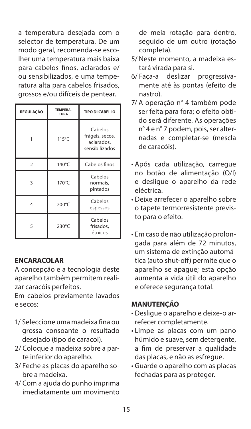a temperatura desejada com o selector de temperatura. De um modo geral, recomenda-se escolher uma temperatura mais baixa para cabelos finos, aclarados e/ ou sensibilizados, e uma temperatura alta para cabelos frisados, grossos e/ou difíceis de pentear.

| <b>REGULAÇÃO</b> | TEMPERA-<br><b>TURA</b> | TIPO DI CABELLO                                            |
|------------------|-------------------------|------------------------------------------------------------|
|                  | 115°C                   | Cabelos<br>frágeis, secos,<br>aclarados,<br>sensibilizados |
| $\overline{2}$   | 140°C                   | Cabelos finos                                              |
| R                | 170°C                   | Cabelos<br>normais,<br>pintados                            |
| 4                | 200°C                   | Cabelos<br>espessos                                        |
| 5                | 230°C                   | Cabelos<br>frisados,<br>étnicos                            |

#### **ENCARACOLAR**

A concepção e a tecnologia deste aparelho também permitem realizar caracóis perfeitos.

Em cabelos previamente lavados e secos:

- 1/ Seleccione uma madeixa fina ou grossa consoante o resultado desejado (tipo de caracol).
- 2/ Coloque a madeixa sobre a parte inferior do aparelho.
- 3/ Feche as placas do aparelho sobre a madeixa.
- 4/ Com a ajuda do punho imprima imediatamente um movimento

de meia rotação para dentro, seguido de um outro (rotação completa).

- 5/ Neste momento, a madeixa estará virada para si.<br>Faca-a deslizar
- 6/ Faça-a deslizar progressivamente até às pontas (efeito de nastro).
- 7/ A operação n° 4 também pode ser feita para fora; o efeito obtido será diferente. As operações n° 4 e n° 7 podem, pois, ser alternadas e completar-se (mescla de caracóis).
- Após cada utilização, carregue no botão de alimentação (O/I) e desligue o aparelho da rede eléctrica.
- Deixe arrefecer o aparelho sobre o tapete termorresistente previsto para o efeito.
- Em caso de não utilização prolongada para além de 72 minutos, um sistema de extinção automática (auto shut-off) permite que o aparelho se apague; esta opção aumenta a vida útil do aparelho e oferece segurança total.

### **MANUTENÇÃO**

- Desligue o aparelho e deixe-o arrefecer completamente.
- Limpe as placas com um pano húmido e suave, sem detergente, a fim de preservar a qualidade das placas, e não as esfregue.
- Guarde o aparelho com as placas fechadas para as proteger.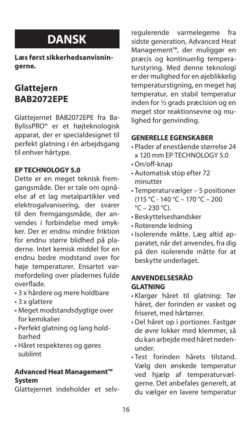# **DANSK**

**Læs først sikkerhedsanvisningerne.** 

# **Glattejern BAB2072EPE**

Glattejernet BAB2072EPE fra Ba-BylissPRO® er et højteknologisk apparat, der er specialdesignet til perfekt glatning i én arbejdsgang til enhver hårtype.

#### **EP TECHNOLOGY 5.0**

Dette er en meget teknisk fremgangsmåde. Der er tale om opnåelse af et lag metalpartikler ved elektrogalvanisering, der svarer til den fremgangsmåde, der anvendes i forbindelse med smykker. Der er endnu mindre friktion for endnu større blidhed på pladerne. Intet kemisk middel for en endnu bedre modstand over for høje temperaturer. Ensartet varmefordeling over pladernes fulde overflade.

- 3 x hårdere og mere holdbare
- 3 x glattere
- Meget modstandsdygtige over for kemikalier
- Perfekt glatning og lang holdbarhed
- Håret respekteres og gøres sublimt

#### **Advanced Heat Management™ System**

Glattejernet indeholder et selv-

regulerende varmelegeme fra sidste generation, Advanced Heat Management™, der muliggør en præcis og kontinuerlig temperaturstyring. Med denne teknologi er der mulighed for en øjeblikkelig temperaturstigning, en meget høj temperatur, en stabil temperatur inden for ½ grads præcision og en meget stor reaktionsevne og mulighed for genvinding.

### **GENERELLE EGENSKABER**

- Plader af enestående størrelse 24 x 120 mm EP TECHNOLOGY 5.0
- On/off-knap
- Automatisk stop efter 72 minutter
- Temperaturvælger 5 positioner  $(115 \text{ °C} - 140 \text{ °C} - 170 \text{ °C} - 200$  $\degree$ C – 230  $\degree$ C).
- Beskyttelseshandsker
- Roterende ledning
- Isolerende måtte. Læg altid apparatet, når det anvendes, fra dig på den isolerende måtte for at beskytte underlaget.

#### **ANVENDELSESRÅD GLATNING**

- Klargør håret til glatning: Tør håret, der forinden er vasket og friseret, med hårtørrer.
- Del håret op i portioner. Fastgør de øvre lokker med klemmer, så du kan arbejde med håret nedenunder.
- Test forinden hårets tilstand. Vælg den ønskede temperatur ved hjælp af temperaturvælgerne. Det anbefales generelt, at du vælger en lavere temperatur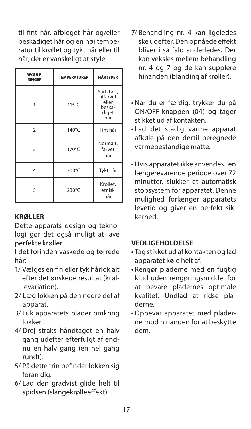til fint hår, afbleget hår og/eller beskadiget hår og en høj temperatur til krøllet og tykt hår eller til hår, der er vanskeligt at style.

| <b>REGULE-</b><br><b>RINGER</b> | <b>TEMPERATURER</b> | <b>HÅRTYPER</b>                                            |
|---------------------------------|---------------------|------------------------------------------------------------|
|                                 | 115°C               | Sart, tørt,<br>affarvet<br>eller<br>beska-<br>diget<br>hår |
| $\overline{2}$                  | 140°C               | Fint hår                                                   |
| 3                               | 170°C               | Normalt,<br>farvet<br>hår                                  |
| 4                               | 200°C               | Tykt hår                                                   |
| 5                               | 230°C               | Krøllet,<br>etnisk<br>hår                                  |

### **KRØLLER**

Dette apparats design og teknologi gør det også muligt at lave perfekte krøller.

I det forinden vaskede og tørrede hår:

- 1/ Vælges en fin eller tyk hårlok alt efter det ønskede resultat (krøllevariation).
- 2/ Læg lokken på den nedre del af apparat.
- 3/ Luk apparatets plader omkring lokken.
- 4/ Drej straks håndtaget en halv gang udefter efterfulgt af endnu en halv gang (en hel gang rundt).
- 5/ På dette trin befinder lokken sig foran dig.
- 6/ Lad den gradvist glide helt til spidsen (slangekrølleeffekt).
- 7/ Behandling nr. 4 kan ligeledes ske udefter. Den opnåede effekt bliver i så fald anderledes. Der kan veksles mellem behandling nr. 4 og 7 og de kan supplere hinanden (blanding af krøller).
- Når du er færdig, trykker du på ON/OFF-knappen (0/I) og tager stikket ud af kontakten.
- Lad det stadig varme apparat afkøle på den dertil beregnede varmebestandige måtte.
- Hvis apparatet ikke anvendes i en længerevarende periode over 72 minutter, slukker et automatisk stopsystem for apparatet. Denne mulighed forlænger apparatets levetid og giver en perfekt sikkerhed.

### **VEDLIGEHOLDELSE**

- Tag stikket ud af kontakten og lad apparatet køle helt af.
- Rengør pladerne med en fugtig klud uden rengøringsmiddel for at bevare pladernes optimale kvalitet. Undlad at ridse pladerne.
- Opbevar apparatet med pladerne mod hinanden for at beskytte dem.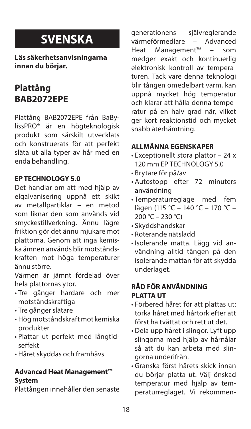# **SVENSKA**

**Läs säkerhetsanvisningarna innan du börjar.** 

# **Plattång BAB2072EPE**

Plattång BAB2072EPE från BaBylissPRO® är en högteknologisk produkt som särskilt utvecklats och konstruerats för att perfekt släta ut alla typer av hår med en enda behandling.

#### **EP TECHNOLOGY 5.0**

Det handlar om att med hjälp av elgalvanisering uppnå ett skikt av metallpartiklar – en metod som liknar den som används vid smyckestillverkning. Ännu lägre friktion gör det ännu mjukare mot plattorna. Genom att inga kemiska ämnen används blir motståndskraften mot höga temperaturer ännu större.

Värmen är jämnt fördelad över hela plattornas ytor.

- Tre gånger hårdare och mer motståndskraftiga
- Tre gånger slätare
- Hög motståndskraft mot kemiska produkter
- Plattar ut perfekt med långtidseffekt
- Håret skyddas och framhävs

#### **Advanced Heat Management™ System**

Plattången innehåller den senaste

generationens självreglerande<br>värmeförmedlare – Advanced värmeförmedlare – Advanced<br>Heat Management™ – som Heat Management™ medger exakt och kontinuerlig elektronisk kontroll av temperaturen. Tack vare denna teknologi blir tången omedelbart varm, kan uppnå mycket hög temperatur och klarar att hålla denna temperatur på en halv grad när, vilket ger kort reaktionstid och mycket snabb återhämtning.

### **ALLMÄNNA EGENSKAPER**

- Exceptionellt stora plattor 24 x 120 mm EP TECHNOLOGY 5.0
- Brytare för på/av
- Autostopp efter 72 minuters användning
- Temperaturreglage med fem lägen (115 °C – 140 °C – 170 °C –  $200 °C - 230 °C$
- Skyddshandskar
- Roterande nätsladd
- Isolerande matta. Lägg vid användning alltid tången på den isolerande mattan för att skydda underlaget.

#### **RÅD FÖR ANVÄNDNING PLATTA UT**

- Förbered håret för att plattas ut: torka håret med hårtork efter att först ha tvättat och rett ut det.
- Dela upp håret i slingor. Lyft upp slingorna med hjälp av hårnålar så att du kan arbeta med slingorna underifrån.
- Granska först hårets skick innan du börjar platta ut. Välj önskad temperatur med hjälp av temperaturreglaget. Vi rekommen-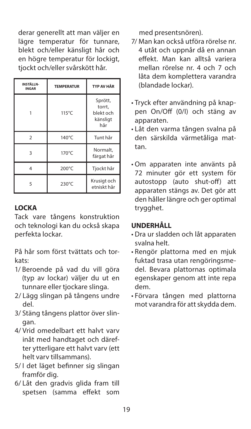derar generellt att man väljer en lägre temperatur för tunnare, blekt och/eller känsligt hår och en högre temperatur för lockigt, tjockt och/eller svårskött hår.

| <b>INSTÄLLN-</b><br><b>INGAR</b> | <b>TEMPERATUR</b> | <b>TYP AV HÅR</b>                                 |
|----------------------------------|-------------------|---------------------------------------------------|
|                                  | $115^{\circ}$ C   | Sprött,<br>torrt.<br>blekt och<br>känsligt<br>hår |
| $\mathfrak{p}$                   | 140°C             | Tunt hår                                          |
| 3                                | 170°C             | Normalt,<br>färgat hår                            |
| 4                                | 200°C             | Tjockt hår                                        |
| 5                                | 230°C             | Krusigt och<br>etniskt hår                        |

#### **LOCKA**

Tack vare tångens konstruktion och teknologi kan du också skapa perfekta lockar.

På hår som först tvättats och torkats:

- 1/ Beroende på vad du vill göra (typ av lockar) väljer du ut en tunnare eller tjockare slinga.
- 2/ Lägg slingan på tångens undre del.
- 3/ Stäng tångens plattor över slingan.
- 4/ Vrid omedelbart ett halvt varv inåt med handtaget och därefter ytterligare ett halvt varv (ett helt varv tillsammans).
- 5/ I det läget befinner sig slingan framför dig.
- 6/ Låt den gradvis glida fram till spetsen (samma effekt som

med presentsnören).

- 7/ Man kan också utföra rörelse nr. 4 utåt och uppnår då en annan effekt. Man kan alltså variera mellan rörelse nr. 4 och 7 och låta dem komplettera varandra (blandade lockar).
- Tryck efter användning på knappen On/Off (0/I) och stäng av apparaten.
- Låt den varma tången svalna på den särskilda värmetåliga mattan.
- Om apparaten inte använts på 72 minuter gör ett system för autostopp (auto shut-off) att apparaten stängs av. Det gör att den håller längre och ger optimal trygghet.

#### **UNDERHÅLL**

- Dra ur sladden och låt apparaten svalna helt.
- Rengör plattorna med en mjuk fuktad trasa utan rengöringsmedel. Bevara plattornas optimala egenskaper genom att inte repa dem.
- Förvara tången med plattorna mot varandra för att skydda dem.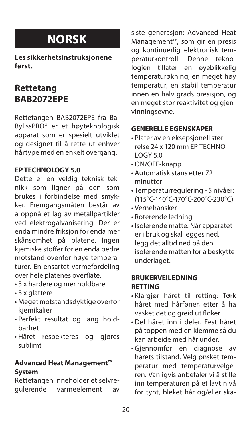# **NORSK**

**Les sikkerhetsinstruksjonene først.** 

## **Rettetang BAB2072EPE**

Rettetangen BAB2072EPE fra Ba-BylissPRO® er et høyteknologisk apparat som er spesielt utviklet og designet til å rette ut enhver hårtype med én enkelt overgang.

#### **EP TECHNOLOGY 5.0**

Dette er en veldig teknisk teknikk som ligner på den som brukes i forbindelse med smykker. Fremgangsmåten består av å oppnå et lag av metallpartikler ved elektrogalvanisering. Der er enda mindre friksjon for enda mer skånsomhet på platene. Ingen kjemiske stoffer for en enda bedre motstand ovenfor høye temperaturer. En ensartet varmefordeling over hele platenes overflate.

- 3 x hardere og mer holdbare
- 3 x glattere
- Meget motstandsdyktige overfor kjemikalier
- Perfekt resultat og lang holdbarhet
- Håret respekteres og gjøres sublimt

#### **Advanced Heat Management™ System**

Rettetangen inneholder et selvregulerende varmeelement av

siste generasjon: Advanced Heat Management™, som gir en presis og kontinuerlig elektronisk temperaturkontroll. Denne teknologien tillater en øyeblikkelig temperaturøkning, en meget høy temperatur, en stabil temperatur innen en halv grads presisjon, og en meget stor reaktivitet og gjenvinningsevne.

#### **GENERELLE EGENSKAPER**

- Plater av en eksepsjonell størrelse 24 x 120 mm EP TECHNO-LOGY 5.0
- ON/OFF-knapp
- Automatisk stans etter 72 minutter
- Temperaturregulering 5 nivåer: (115°C-140°C-170°C-200°C-230°C)
- Vernehansker
- Roterende ledning
- Isolerende matte. Når apparatet er i bruk og skal legges ned, legg det alltid ned på den isolerende matten for å beskytte underlaget.

#### **BRUKERVEILEDNING RETTING**

- Klargjør håret til retting: Tørk håret med hårføner, etter å ha vasket det og greid ut floker.
- Del håret inn i deler. Fest håret på toppen med en klemme så du kan arbeide med hår under.
- Gjennomfør en diagnose av hårets tilstand. Velg ønsket temperatur med temperaturvelgeren. Vanligvis anbefaler vi å stille inn temperaturen på et lavt nivå for tynt, bleket hår og/eller ska-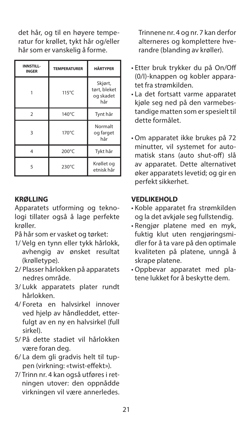det hår, og til en høyere temperatur for krøllet, tykt hår og/eller hår som er vanskelig å forme.

| <b>INNSTILL-</b><br><b>INGER</b> | <b>TEMPERATURER</b> | <b>HÅRTYPER</b>                             |
|----------------------------------|---------------------|---------------------------------------------|
|                                  | $115^{\circ}$ C     | Skjørt,<br>tørt, bleket<br>og skadet<br>hår |
| $\mathfrak{p}$                   | 140°C               | Tynt hår                                    |
| 3                                | 170°C               | Normalt<br>og farget<br>hår                 |
| 4                                | 200°C               | Tykt hår                                    |
| 5                                | 230°C               | Krøllet og<br>etnisk hår                    |

#### **KRØLLING**

Apparatets utforming og teknologi tillater også å lage perfekte krøller.

På hår som er vasket og tørket:

- 1/ Velg en tynn eller tykk hårlokk, avhengig av ønsket resultat (krølletype).
- 2/ Plasser hårlokken på apparatets nedres område.
- 3/ Lukk apparatets plater rundt hårlokken.
- 4/ Foreta en halvsirkel innover ved hielp av håndleddet, etterfulgt av en ny en halvsirkel (full sirkel).
- 5/ På dette stadiet vil hårlokken være foran deg.
- 6/ La dem gli gradvis helt til tuppen (virkning: «twist-effekt»).
- 7/ Trinn nr. 4 kan også utføres i retningen utover: den oppnådde virkningen vil være annerledes.

Trinnene nr. 4 og nr. 7 kan derfor alterneres og komplettere hverandre (blanding av krøller).

- Etter bruk trykker du på On/Off (0/I)-knappen og kobler apparatet fra strømkilden.
- La det fortsatt varme apparatet kjøle seg ned på den varmebestandige matten som er spesielt til dette formålet.
- Om apparatet ikke brukes på 72 minutter, vil systemet for automatisk stans (auto shut-off) slå av apparatet. Dette alternativet øker apparatets levetid; og gir en perfekt sikkerhet.

#### **VEDLIKEHOLD**

- Koble apparatet fra strømkilden og la det avkjøle seg fullstendig.
- Rengjør platene med en myk, fuktig klut uten rengjøringsmidler for å ta vare på den optimale kvaliteten på platene, unngå å skrape platene.
- Oppbevar apparatet med platene lukket for å beskytte dem.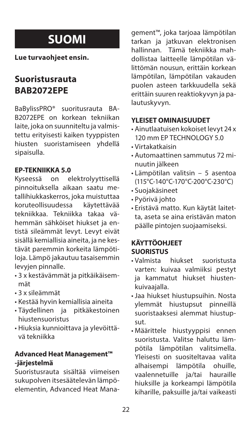# **SUOMI**

**Lue turvaohjeet ensin.** 

# **Suoristusrauta BAB2072EPE**

BaBylissPRO® suoritusrauta BA-B2072EPE on korkean tekniikan laite, joka on suunniteltu ja valmistettu erityisesti kaiken tyyppisten hiusten suoristamiseen yhdellä sipaisulla.

#### **EP-TEKNIIKKA 5.0**

Kyseessä on elektrolyyttisellä pinnoituksella aikaan saatu metallihiukkaskerros, joka muistuttaa koruteollisuudessa tekniikkaa. Tekniikka takaa vähemmän sähköiset hiukset ja entistä sileämmät levyt. Levyt eivät sisällä kemiallisia aineita, ja ne kestävät paremmin korkeita lämpötiloja. Lämpö jakautuu tasaisemmin levyjen pinnalle.

- 3 x kestävämmät ja pitkäikäisemmät
- 3 x sileämmät
- Kestää hyvin kemiallisia aineita
- Täydellinen ja hiustensuoristus
- Hiuksia kunnioittava ja ylevöittävä tekniikka

## **Advanced Heat Management™ -järjestelmä**

Suoristusrauta sisältää viimeisen sukupolven itsesäätelevän lämpöelementin, Advanced Heat Management™, joka tarjoaa lämpötilan tarkan ja jatkuvan elektronisen hallinnan. Tämä tekniikka mahdollistaa laitteelle lämpötilan välittömän nousun, erittäin korkean lämpötilan, lämpötilan vakauden puolen asteen tarkkuudella sekä erittäin suuren reaktiokyvyn ja palautuskyvyn.

#### **YLEISET OMINAISUUDET**

- Ainutlaatuisen kokoiset levyt 24 x 120 mm EP TECHNOLOGY 5.0
- Virtakatkaisin
- Automaattinen sammutus 72 minuutin jälkeen
- Lämpötilan valitsin 5 asentoa (115°C-140°C-170°C-200°C-230°C)
- Suojakäsineet
- Pyörivä johto
- Eristävä matto. Kun käytät laitetta, aseta se aina eristävän maton päälle pintojen suojaamiseksi.

## **KÄYTTÖOHJEET SUORISTUS**

- Valmista hiukset suoristusta varten: kuivaa valmiiksi pestyt ja kammatut hiukset hiustenkuivaajalla.
- Jaa hiukset hiustupsuihin. Nosta ylemmät hiustupsut pinneillä suoristaaksesi alemmat hiustupsut.
- Määrittele hiustyyppisi ennen suoristusta. Valitse haluttu lämpötila lämpötilan valitsimella. Yleisesti on suositeltavaa valita alhaisempi lämpötila ohuille, vaalennetuille ja/tai hauraille hiuksille ja korkeampi lämpötila kiharille, paksuille ja/tai vaikeasti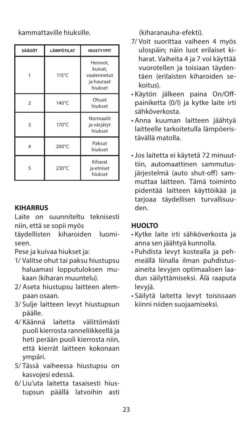kammattaville hiuksille.

| <b>SÄÄDÖT</b> | <b>LÄMPÖTILAT</b> | <b>HIUSTYYPIT</b>                                          |
|---------------|-------------------|------------------------------------------------------------|
|               | $115^{\circ}$ C   | Hennot,<br>kuivat,<br>vaalennetut<br>ja hauraat<br>hiukset |
| $\mathcal{P}$ | 140°C             | Ohuet<br>hiukset                                           |
| 3             | 170°C             | Normaalit<br>ja värjätyt<br>hiukset                        |
| 4             | 200°C             | Paksut<br>hiukset                                          |
| 5             | 230°C             | Kiharat<br>ja etniset<br>hiukset                           |

### **KIHARRUS**

Laite on suunniteltu teknisesti niin, että se sopii myös

täydellisten kiharoiden luomiseen.

Pese ja kuivaa hiukset ja:

- 1/ Valitse ohut tai paksu hiustupsu haluamasi lopputuloksen mukaan (kiharan muuntelu).
- 2/ Aseta hiustupsu laitteen alempaan osaan.
- 3/ Sulje laitteen levyt hiustupsun päälle.
- 4/ Käännä laitetta välittömästi puoli kierrosta ranneliikkeellä ja heti perään puoli kierrosta niin, että kierrät laitteen kokonaan ympäri.
- 5/ Tässä vaiheessa hiustupsu on kasvojesi edessä.
- 6/ Liu'uta laitetta tasaisesti hiustupsun päällä latvoihin asti

(kiharanauha-efekti).

- 7/ Voit suorittaa vaiheen 4 myös ulospäin; näin luot erilaiset kiharat. Vaiheita 4 ja 7 voi käyttää vuorotellen ja toisiaan täydentäen (erilaisten kiharoiden sekoitus).
- Käytön jälkeen paina On/Offpainiketta (0/I) ja kytke laite irti sähköverkosta.
- Anna kuuman laitteen jäähtyä laitteelle tarkoitetulla lämpöeristävällä matolla.
- Jos laitetta ei käytetä 72 minuuttiin, automaattinen sammutusjärjestelmä (auto shut-off) sammuttaa laitteen. Tämä toiminto pidentää laitteen käyttöikää ja tarjoaa täydellisen turvallisuuden.

### **HUOLTO**

- Kytke laite irti sähköverkosta ja anna sen jäähtyä kunnolla.
- Puhdista levyt kostealla ja pehmeällä liinalla ilman puhdistusaineita levyjen optimaalisen laadun säilyttämiseksi. Älä raaputa levyjä.
- Säilytä laitetta levyt toisissaan kiinni niiden suojaamiseksi.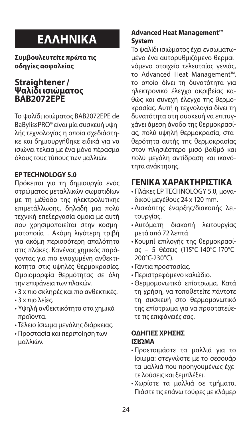# **ΕΛΛΗΝΙΚΑ**

**Συμβουλευτείτε πρώτα τις οδηγίες ασφαλείας** 

### **Straightener / Ψαλίδι ισιώματος BAB2072EPE**

Το ψαλίδι ισιώματος BAB2072EPE de BaBylissPRO® είναι μία συσκευή υψηλής τεχνολογίας η οποία σχεδιάστηκε και δημιουργήθηκε ειδικά για να ισιώνει τέλεια με ένα μόνο πέρασμα όλους τους τύπους των μαλλιών.

### **EP TECHNOLOGY 5.0**

Πρόκειται για τη δημιουργία ενός στρώματος μεταλλικών σωματιδίων με τη μέθοδο της ηλεκτρολυτικής επιμετάλλωσης, δηλαδή μια πολύ τεχνική επεξεργασία όμοια με αυτή που χρησιμοποιείται στην κοσμηματοποιία . Ακόμη λιγότερη τριβή για ακόμη περισσότερη απαλότητα στις πλάκες. Κανένας χημικός παράγοντας για πιο ενισχυμένη ανθεκτικότητα στις υψηλές θερμοκρασίες. Ομοιομορφία θερμότητας σε όλη την επιφάνεια των πλακών.

- 3 x πιο σκληρές και πιο ανθεκτικές.
- 3 x πιο λείες.
- Υψηλή ανθεκτικότητα στα χημικά προϊόντα.
- Τέλειο ίσιωμα μεγάλης διάρκειας.
- Προστασία και περιποίηση των μαλλιών.

### **Advanced Heat Management™ System**

Το ψαλίδι ισιώματος έχει ενσωματωμένο ένα αυτορυθμιζόμενο θερμαινόμενο στοιχείο τελευταίας γενιάς, το Advanced Heat Management™, το οποίο δίνει τη δυνατότητα για ηλεκτρονικό έλεγχο ακριβείας καθώς και συνεχή έλεγχο της θερμοκρασίας. Αυτή η τεχνολογία δίνει τη δυνατότητα στη συσκευή να επιτυγχάνει άμεση άνοδο της θερμοκρασίας, πολύ υψηλή θερμοκρασία, σταθερότητα αυτής της θερμοκρασίας στον πλησιέστερο μισό βαθμό και πολύ μεγάλη αντίδραση και ικανότητα ανάκτησης.

## **ΓΕΝΙΚΑ ΧΑΡΑΚΤΗΡΙΣΤΙΚΑ**

- Πλάκες EP TECHNOLOGY 5.0, μοναδικού μεγέθους 24 x 120 mm.
- Διακόπτης έναρξης/διακοπής λειτουργίας.
- Αυτόματη διακοπή λειτουργίας μετά από 72 λεπτά
- Κουμπί επιλογής της θερμοκρασίας – 5 θέσεις (115°C-140°C-170°C-200°C-230°C).
- Γάντια προστασίας.
- Περιστρεφόμενο καλώδιο.
- Θερμομονωτικό επίστρωμα. Κατά τη χρήση, να τοποθετείτε πάντοτε τη συσκευή στο θερμομονωτικό της επίστρωμα για να προστατεύετε τις επιφάνειές σας.

#### **ΟΔΗΓΙΕΣ ΧΡΗΣΗΣ ΙΣΙΩΜΑ**

- Προετοιμάστε τα μαλλιά για το ίσιωμα: στεγνώστε με το σεσουάρ τα μαλλιά που προηγουμένως έχετε λούσεις και ξεμπλέξει.
- Χωρίστε τα μαλλιά σε τμήματα. Πιάστε τις επάνω τούφες με κλάμερ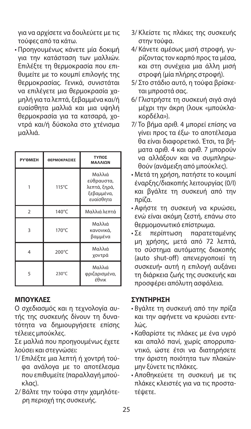για να αρχίσετε να δουλεύετε με τις τούφες από τα κάτω.

• Προηγουμένως κάνετε μία δοκιμή για την κατάσταση των μαλλιών. Επιλέξτε τη θερμοκρασία που επιθυμείτε με το κουμπί επιλογής της θερμοκρασίας. Γενικά, συνιστάται να επιλέγετε μια θερμοκρασία χαμηλή για τα λεπτά, ξεβαμμένα και/ή ευαίσθητα μαλλιά και μια υψηλή θερμοκρασία για τα κατσαρά, χοντρά και/ή δύσκολα στο χτένισμα μαλλιά.

| ΡΥ ΌΜΙΣΗ       | ΘΕΡΜΟΚΡΑΣΙΕΣ    | ΤΥΠΟΣ<br>ΜΑΛΛΙΩΝ                                                |
|----------------|-----------------|-----------------------------------------------------------------|
|                | $115^{\circ}$ C | Μαλλιά<br>εύθραυστα,<br>λεπτά, ξηρά,<br>ξεβαμμένα,<br>ευαίσθητα |
| $\mathfrak{p}$ | 140°C           | Μαλλιά λεπτά                                                    |
| 3              | 170°C           | Μαλλιά<br>κανονικά,<br>βαμμένα                                  |
|                | 200°C           | Μαλλιά<br>χοντρά                                                |
| 5              | 230°C           | Μαλλιά<br>φριζαρισμένα,<br>έθνικ                                |

#### **ΜΠΟΥΚΛΕΣ**

Ο σχεδιασμός και η τεχνολογία αυτής της συσκευής δίνουν τη δυνατότητα να δημιουργήσετε επίσης τέλειες μπούκλες.

Σε μαλλιά που προηγουμένως έχετε λούσει και στεγνώσει:

- 1/ Επιλέξτε μια λεπτή ή χοντρή τούφα ανάλογα με το αποτέλεσμα που επιθυμείτε (παραλλαγή μπούκλας).
- 2/ Βάλτε την τούφα στην χαμηλότερη περιοχή της συσκευής.
- 3/ Κλείστε τις πλάκες της συσκευής στην τούφα.
- 4/ Κάνετε αμέσως μισή στροφή, γυρίζοντας τον καρπό προς τα μέσα, και στη συνέχεια μια άλλη μισή στροφή (μία πλήρης στροφή).
- 5/ Στο στάδιο αυτό, η τούφα βρίσκεται μπροστά σας.
- 6/ Γλιστρήστε τη συσκευή σιγά σιγά μέχρι την άκρη (λουκ «μπούκλακορδέλα»).
- 7/ Το βήμα αριθ. 4 μπορεί επίσης να γίνει προς τα έξω· το αποτέλεσμα θα είναι διαφορετικό. Έτσι, τα βήματα αριθ. 4 και αριθ. 7 μπορούν να αλλάξουν και να συμπληρωθούν (ανάμειξη από μπούκλες).
- Μετά τη χρήση, πατήστε το κουμπί έναρξης/διακοπής λειτουργίας (0/I) και βγάλτε τη συσκευή από την πρίζα.
- Αφήστε τη συσκευή να κρυώσει, ενώ είναι ακόμη ζεστή, επάνω στο θερμομονωτικό επίστρωμα.<br>• Σε περίπτωση παρατετι
- Σε περίπτωση παρατεταμένης μη χρήσης, μετά από 72 λεπτά, το σύστημα αυτόματης διακοπής (auto shut-off) απενεργοποιεί τη συσκευή• αυτή η επιλογή αυξάνει τη διάρκεια ζωής της συσκευής και προσφέρει απόλυτη ασφάλεια.

### **ΣΥΝΤΗΡΗΣΗ**

- Βγάλτε τη συσκευή από την πρίζα και την αφήνετε να κρυώσει εντελώς.
- Καθαρίστε τις πλάκες με ένα υγρό και απαλό πανί, χωρίς απορρυπαντικό, ώστε έτσι να διατηρήσετε την άριστη ποιότητα των πλακών· μην ξύνετε τις πλάκες.
- Αποθηκεύετε τη συσκευή με τις πλάκες κλειστές για να τις προστατέψετε.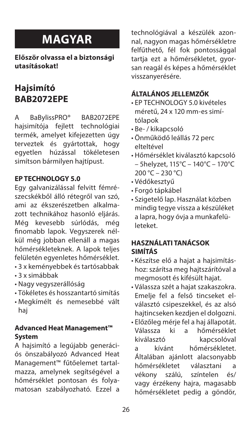# **MAGYAR**

**Először olvassa el a biztonsági utasításokat!** 

# **Hajsimító BAB2072EPE**

A BaBylissPRO<sup>®</sup> BAB2072EPE<br>haisimítóia feilett technológiai haisimítóia feilett termék, amelyet kifejezetten úgy terveztek és gyártottak, hogy egyetlen húzással tökéletesen simítson bármilyen hajtípust.

#### **EP TECHNOLOGY 5.0**

Egy galvanizálással felvitt fémrészecskékből álló rétegről van szó, ami az ékszerészetben alkalmazott technikához hasonló eljárás. Még kevesebb súrlódás, még finomabb lapok. Vegyszerek nélkül még jobban ellenáll a magas hőmérsékleteknek. A lapok teljes felületén egyenletes hőmérséklet. • 3 x keményebbek és tartósabbak

- 3 x simábbak
- Nagy vegyszerállóság
- Tökéletes és hosszantartó simítás
- Megkímélt és nemesebbé vált haj

#### **Advanced Heat Management™ System**

A hajsimító a legújabb generációs önszabályozó Advanced Heat Management™ fűtőelemet tartalmazza, amelynek segítségével a hőmérséklet pontosan és folyamatosan szabályozható. Ezzel a

technológiával a készülék azonnal, nagyon magas hőmérsékletre felfűthető, fél fok pontossággal tartia ezt a hőmérsékletet, gyorsan reagál és képes a hőmérséklet visszanyerésére.

### **ÁLTALÁNOS JELLEMZŐK**

- EP TECHNOLOGY 5.0 kivételes méretű, 24 x 120 mm-es simítólapok
- Be- / kikapcsoló
- Önműködő leállás 72 perc elteltével
- Hőmérséklet kiválasztó kapcsoló – 5helyzet, 115°C – 140°C – 170°C  $200 °C - 230 °C$
- Védőkesztyű
- Forgó tápkábel
- Szigetelő lap. Használat közben mindig tegye vissza a készüléket a lapra, hogy óvja a munkafelületeket.

### **HASZNÁLATI TANÁCSOK SIMÍTÁS**

- Készítse elő a hajat a hajsimításhoz: szárítsa meg hajtszárítóval a megmosott és kifésült hajat.
- Válassza szét a hajat szakaszokra. Emelje fel a felső tincseket elválasztó csipeszekkel, és az alsó hajtincseken kezdjen el dolgozni.
- Előzőleg mérje fel a haj állapotát. ki a hőmérséklet kiválasztó kapcsolóval a kívánt hőmérsékletet. Általában ajánlott alacsonyabb<br>hőmérsékletet választani a hőmérsékletet választani a<br>vékony szálú színtelen és/ vékony szálú, színtelen és/ vagy érzékeny hajra, magasabb hőmérsékletet pedig a göndör,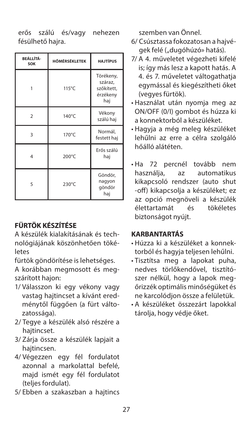erős szálú és/vagy nehezen fésülhető hajra.

| <b>BEÁLLÍTÁ-</b><br>SOK | HÖMÉRSÉKLETEK | <b>HAJTÍPUS</b>                                       |
|-------------------------|---------------|-------------------------------------------------------|
|                         | 115°C         | Törékeny,<br>száraz,<br>szőkített,<br>érzékeny<br>haj |
| $\mathfrak{p}$          | 140°C         | Vékony<br>szálú haj                                   |
| 3                       | 170°C         | Normál,<br>festett haj                                |
| 4                       | 200°C         | Erős szálú<br>haj                                     |
| 5                       | 230°C         | Göndör,<br>nagyon<br>göndör<br>haj                    |

## **FÜRTÖK KÉSZÍTÉSE**

A készülék kialakításának és technológiájának köszönhetően tökéletes

fürtök göndörítése is lehetséges.

A korábban megmosott és megszárított hajon:

- 1/ Válasszon ki egy vékony vagy vastag hajtincset a kívánt eredménytől függően (a fürt változatossága).
- 2/ Tegye a készülék alsó részére a hajtincset.
- 3/ Zárja össze a készülék lapjait a hajtincsen.
- 4/ Végezzen egy fél fordulatot azonnal a markolattal befelé, majd ismét egy fél fordulatot (teljes fordulat).
- 5/ Ebben a szakaszban a hajtincs

szemben van Önnel.

- 6/ Csúsztassa fokozatosan a hajvégek felé ("dugóhúzó» hatás).
- 7/ A 4. műveletet végezheti kifelé is; így más lesz a kapott hatás. A 4. és 7. műveletet váltogathatja egymással és kiegészítheti őket (vegyes fürtök).
- Használat után nyomja meg az ON/OFF (0/I) gombot és húzza ki a konnektorból a készüléket.
- Hagyja a még meleg készüléket lehűlni az erre a célra szolgáló hőálló alátéten.
- Ha 72 percnél tovább nem használja, az automatikus kikapcsoló rendszer (auto shut -off) kikapcsolja a készüléket; ez az opció megnöveli a készülék<br>élettartamát és tökéletes élettartamát és biztonságot nyújt.

#### **KARBANTARTÁS**

- Húzza ki a készüléket a konnektorból és hagyja teljesen lehűlni.
- Tisztítsa meg a lapokat puha, nedves törlőkendővel, tisztítószer nélkül, hogy a lapok megőrizzék optimális minőségüket és ne karcolódjon össze a felületük.
- A készüléket összezárt lapokkal tárolia, hogy védie őket.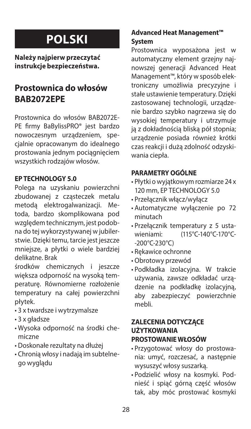# **POLSKI**

**Należy najpierw przeczytać instrukcje bezpieczeństwa.** 

## **Prostownica do włosów BAB2072EPE**

Prostownica do włosów BAB2072E-PE firmy BaBylissPRO® jest bardzo nowoczesnym urządzeniem, specjalnie opracowanym do idealnego prostowania jednym pociągnięciem wszystkich rodzajów włosów.

#### **EP TECHNOLOGY 5.0**

Polega na uzyskaniu powierzchni zbudowanej z cząsteczek metalu metoda elektrogalwanizacji. Metoda, bardzo skomplikowana pod względem technicznym, jest podobna do tej wykorzystywanej w jubilerstwie. Dzięki temu, tarcie jest jeszcze mniejsze, a płytki o wiele bardziej delikatne. Brak

środków chemicznych i jeszcze większa odporność na wysoką temperaturę. Równomierne rozłożenie temperatury na całej powierzchni płytek.

- 3 x twardsze i wytrzymalsze
- 3 x gładsze
- Wysoka odporność na środki chemiczne
- Doskonałe rezultaty na dłużej
- Chronią włosy i nadają im subtelnego wyglądu

### **Advanced Heat Management™ System**

Prostownica wyposażona jest w automatyczny element grzejny najnowszej generacji Advanced Heat Management™, który w sposób elektroniczny umożliwia precyzyjne i stałe ustawienie temperatury. Dzięki zastosowanej technologii, urządzenie bardzo szybko nagrzewa się do wysokiej temperatury i utrzymuje ją z dokładnością bliską pół stopnia; urządzenie posiada również krótki czas reakcji i dużą zdolność odzyskiwania ciepła.

### **PARAMETRY OGÓLNE**

- Płytki o wyjątkowym rozmiarze 24 x 120 mm, EP TECHNOLOGY 5.0
- Przełącznik włącz/wyłącz
- Automatyczne wyłączenie po 72 minutach
- Przełącznik temperatury z 5 ustawieniami: (115°C-140°C-170°C- -200°C-230°C)
- Rękawice ochronne
- Obrotowy przewód
- Podkładka izolacyjna. W trakcie używania, zawsze odkładać urządzenie na podkładkę izolacyjną, aby zabezpieczyć powierzchnie mebli.

#### **ZALECENIA DOTYCZĄCE UŻYTKOWANIA PROSTOWANIE WŁOSÓW**

- Przygotować włosy do prostowania: umyć, rozczesać, a następnie wysuszyć włosy suszarką.
- Podzielić włosy na kosmyki. Podnieść i spiąć górną część włosów tak, aby móc prostować kosmyki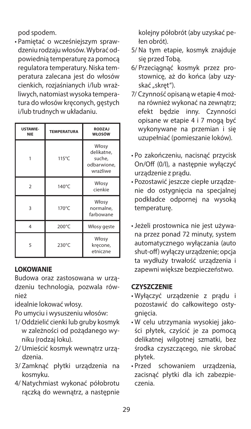pod spodem.

• Pamiętać o wcześniejszym sprawdzeniu rodzaju włosów. Wybrać odpowiednią temperaturę za pomocą regulatora temperatury. Niska temperatura zalecana jest do włosów cienkich, rozjaśnianych i/lub wrażliwych, natomiast wysoka temperatura do włosów kręconych, gęstych i/lub trudnych w układaniu.

| <b>USTAWIE-</b><br><b>NIE</b> | <b>TEMPERATURA</b> | <b>RODZAJ</b><br>WŁOSÓW                                  |
|-------------------------------|--------------------|----------------------------------------------------------|
|                               | 115°C              | Włosy<br>delikatne.<br>suche,<br>odbarwione.<br>wrażliwe |
| $\mathfrak{p}$                | 140°C              | Włosy<br>cienkie                                         |
| 3                             | 170°C              | Włosy<br>normalne,<br>farbowane                          |
| 4                             | 200°C              | Włosy geste                                              |
| 5                             | 230°C              | Włosy<br>krecone,<br>etniczne                            |

### **LOKOWANIE**

Budowa oraz zastosowana w urządzeniu technologia, pozwala również

idealnie lokować włosy.

Po umyciu i wysuszeniu włosów:

- 1/ Oddzielić cienki lub gruby kosmyk w zależności od pożądanego wyniku (rodzaj loku).
- 2/ Umieścić kosmyk wewnątrz urządzenia.
- 3/ Zamknąć płytki urządzenia na kosmyku.
- 4/ Natychmiast wykonać półobrotu rączką do wewnątrz, a następnie

kolejny półobrót (aby uzyskać pełen obrót).

- 5/ Na tym etapie, kosmyk znajduje się przed Tobą.
- 6/ Przeciągnąć kosmyk przez prostownicę, aż do końca (aby uzyskać "skręt").
- 7/ Czynność opisaną w etapie 4 można również wykonać na zewnątrz; efekt będzie inny. Czynności opisane w etapie 4 i 7 mogą być wykonywane na przemian i się uzupełniać (pomieszanie loków).
- Po zakończeniu, nacisnąć przycisk On/Off (0/I), a następnie wyłączyć urządzenie z prądu.
- Pozostawić jeszcze ciepłe urządzenie do ostygnięcia na specjalnej podkładce odpornej na wysoką temperaturę.
- Jeżeli prostownica nie jest używana przez ponad 72 minuty, system automatycznego wyłączania (auto shut-off) wyłączy urządzenie; opcja ta wydłuży trwałość urządzenia i zapewni większe bezpieczeństwo.

### **CZYSZCZENIE**

- Wyłączyć urządzenie z prądu i pozostawić do całkowitego ostygniecia.
- W celu utrzymania wysokiej jakości płytek, czyścić je za pomocą delikatnej wilgotnej szmatki, bez środka czyszczącego, nie skrobać płytek.
- Przed schowaniem urządzenia, zacisnąć płytki dla ich zabezpieczenia.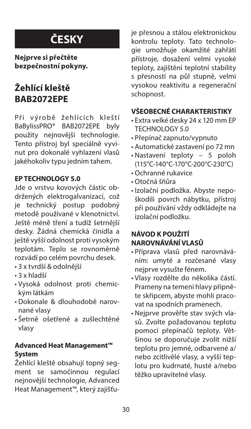# **ČESKY**

**Nejprve si přečtěte bezpečnostní pokyny.** 

# **Žehlící kleště BAB2072EPE**

Při výrobě žehlících kleští BaBylissPRO® BAB2072EPE byly použity nejnovější technologie. Tento přístroj byl speciálně vyvinut pro dokonalé vyhlazení vlasů jakéhokoliv typu jedním tahem.

### **EP TECHNOLOGY 5.0**

Jde o vrstvu kovových částic obdržených elektrogalvanizací, což je technický postup podobný metodě používané v klenotnictví. Ještě méně tření a tudíž šetrnější desky. Žádná chemická činidla a ještě vyšší odolnost proti vysokým teplotám. Teplo se rovnoměrně rozvádí po celém povrchu desek.

- 3 x tvrdší & odolnější
- 3 x hladší
- Vysoká odolnost proti chemickým látkám
- Dokonale & dlouhodobě narovnané vlasy
- Šetrně ošetřené a zušlechtěné vlasy

#### **Advanced Heat Management™ System**

Žehlící kleště obsahují topný segment se samočinnou regulací nejnovější technologie, Advanced Heat Management™, který zajišťuje přesnou a stálou elektronickou kontrolu teploty. Tato technologie umožňuje okamžité zahřátí přístroje, dosažení velmi vysoké teploty, zajištění teplotní stability s přesností na půl stupně, velmi vysokou reaktivitu a regenerační schopnost.

#### **VŠEOBECNÉ CHARAKTERISTIKY**

- Extra velké desky 24 x 120 mm EP TECHNOLOGY 5.0
- Přepínač zapnuto/vypnuto
- Automatické zastavení po 72 mn
- Nastavení teploty 5 poloh (115°C-140°C-170°C-200°C-230°C)
- Ochranné rukavice
- Otočná šňůra
- Izolační podložka. Abyste nepoškodili povrch nábytku, přístroj při používání vždy odkládejte na izolační podložku.

### **NÁVOD K POUŽITÍ NAROVNÁVÁNÍ VLASŮ**

- Příprava vlasů před narovnáváním: umyté a rozčesané vlasy nejprve vysušte fénem.
- Vlasy rozdělte do několika částí. Prameny na temeni hlavy připněte skřipcem, abyste mohli pracovat na spodních pramenech.
- Nejprve prověřte stav svých vlasů. Zvolte požadovanou teplotu pomocí přepínačů teploty. Většinou se doporučuje zvolit nižší teplotu pro jemné, odbarvené a/ nebo zcitlivělé vlasy, a vyšší teplotu pro kudrnaté, husté a/nebo těžko upravitelné vlasy.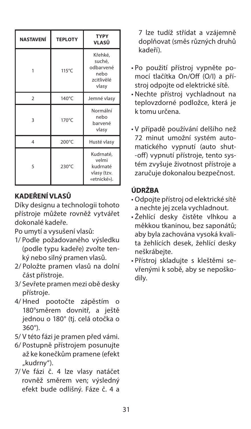| <b>NASTAVENÍ</b> | <b>TEPLOTY</b> | <b>TYPY</b><br>VLASŮ                                          |
|------------------|----------------|---------------------------------------------------------------|
|                  | 115°C          | Křehké,<br>suché,<br>odbarvené<br>nebo<br>zcitlivělé<br>vlasy |
| $\overline{2}$   | 140°C          | Jemné vlasy                                                   |
| 3                | 170°C          | Normální<br>nebo<br>barvené<br>vlasy                          |
| $\overline{4}$   | 200°C          | Husté vlasy                                                   |
| 5                | 230°C          | Kudrnaté,<br>velmi<br>kudrnaté<br>vlasy (tzv.<br>«etnické»).  |

### **KADEŘENÍ VLASŮ**

Díky designu a technologii tohoto přístroje můžete rovněž vytvářet dokonalé kadeře.

Po umytí a vysušení vlasů:

- 1/ Podle požadovaného výsledku (podle typu kadeře) zvolte tenký nebo silný pramen vlasů.
- 2/ Položte pramen vlasů na dolní část přístroje.
- 3/ Sevřete pramen mezi obě desky přístroje.
- 4/ Hned pootočte zápěstím o 180°směrem dovnitř, a ještě jednou o 180° (tj. celá otočka o 360°).
- 5/ V této fázi je pramen před vámi.
- 6/ Postupně přístrojem posunujte až ke konečkům pramene (efekt "kudrny").
- 7/ Ve fázi č. 4 lze vlasy natáčet rovněž směrem ven; výsledný efekt bude odlišný. Fáze č. 4 a

7 lze tudíž střídat a vzájemně doplňovat (směs různých druhů kadeří).

- Po použití přístroj vypněte pomocí tlačítka On/Off (O/I) a přístroj odpojte od elektrické sítě.
- Nechte přístroj vychladnout na teplovzdorné podložce, která je k tomu určena.
- V případě používání delšího než 72 minut umožní systém automatického vypnutí (auto shut- -off) vypnutí přístroje, tento systém zvyšuje životnost přístroje a zaručuje dokonalou bezpečnost.

### **ÚDRŽBA**

- Odpojte přístroj od elektrické sítě a nechte jej zcela vychladnout.
- Žehlící desky čistěte vlhkou a měkkou tkaninou, bez saponátů; aby byla zachována vysoká kvalita žehlících desek, žehlící desky neškrábejte.
- Přístroj skladujte s kleštěmi sevřenými k sobě, aby se nepoškodily.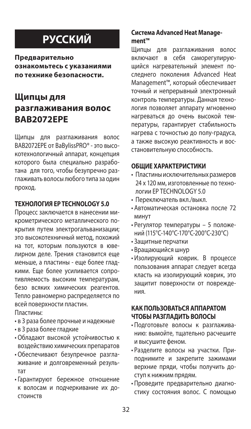# **РУССКИЙ**

**Предварительно ознакомьтесь с указаниями по технике безопасности.** 

## **Щипцы для разглаживания волос BAB2072EPE**

Щипцы для разглаживания волос BAB2072EPE от BaBylissPRO® - это высокотехнологичный аппарат, концепция которого была специально разработана для того, чтобы безупречно разглаживать волосы любого типа за один проход.

#### **ТЕХНОЛОГИЯ EP TECHNOLOGY 5.0**

Процесс заключается в нанесении микрометрического металлического покрытия путем электрогальванизации; это высокотехничный метод, похожий на тот, которым пользуются в ювелирном деле. Трения становится еще меньше, а пластины - еще более гладкими. Еще более усиливается сопротивляемость высоким температурам, безо всяких химических реагентов. Тепло равномерно распределяется по всей поверхности пластин.

Пластины:

- в 3 раза более прочные и надежные
- в 3 раза более гладкие
- Обладают высокой устойчивостью к воздействию химических препаратов
- Обеспечивают безупречное разглаживание и долговременный результат
- Гарантируют бережное отношение к волосам и подчеркивание их достоинств

#### **Система Advanced Heat Management™**

Щипцы для разглаживания волос включают в себя саморегулирующийся нагревательный элемент последнего поколения Advanced Heat Management™, который обеспечивает точный и непрерывный электронный контроль температуры. Данная технология позволяет аппарату мгновенно нагреваться до очень высокой температуры, гарантирует стабильность нагрева с точностью до полу-градуса, а также высокую реактивность и восстановительную способность.

#### **ОБЩИЕ ХАРАКТЕРИСТИКИ**

- Пластины исключительных размеров 24 х 120 мм, изготовленные по технологии EP TECHNOLOGY 5.0
- Переключатель вкл./выкл.
- Автоматическая остановка после 72 минут
- Регулятор температуры 5 положений (115°C-140°C-170°C-200°C-230°C)
- Защитные перчатки
- Вращающийся шнур
- Изолирующий коврик. В процессе пользования аппарат следует всегда класть на изолирующий коврик, это защитит поверхности от повреждения.

#### **КАК ПОЛЬЗОВАТЬСЯ АППАРАТОМ ЧТОБЫ РАЗГЛАДИТЬ ВОЛОСЫ**

- Подготовьте волосы к разглаживанию: вымойте, тщательно расчешите и высушите феном.
- Разделите волосы на участки. Приподнимите и закрепите зажимами верхние пряди, чтобы получить доступ к нижним прядям.
- Проведите предварительно диагностику состояния волос. С помощью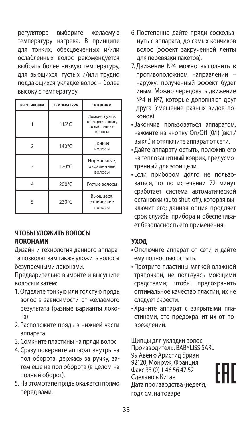регулятора выберите желаемую температуру нагрева. В принципе для тонких, обесцвеченных и/или ослабленных волос рекомендуется выбрать более низкую температуру, для вьющихся, густых и/или трудно поддающихся укладке волос – более высокую температуру.

| <b>РЕГУЛИРОВКА</b> | <b>ТЕМПЕРАТУРА</b> | ТИП ВОЛОС                                                 |
|--------------------|--------------------|-----------------------------------------------------------|
|                    | $115^{\circ}$ C    | Ломкие, сухие,<br>обесцвеченные,<br>ослабленные<br>волосы |
| 2                  | 140°C              | Тонкие<br>волосы                                          |
| 3                  | 170°C              | Нормальные,<br>окрашенные<br>волосы                       |
| 4                  | 200°C              | Густые волосы                                             |
| ς                  | 230°C              | Вьющиеся,<br>этнические<br>волосы                         |

#### **ЧТОБЫ УЛОЖИТЬ ВОЛОСЫ ЛОКОНАМИ**

Дизайн и технология данного аппарата позволят вам также уложить волосы безупречными локонами.

Предварительно вымойте и высушите волосы и затем:

- 1. Отделите тонкую или толстую прядь волос в зависимости от желаемого результата (разные варианты локона)
- 2. Расположите прядь в нижней части аппарата
- 3. Сомкните пластины на пряди волос
- 4. Сразу поверните аппарат внутрь на пол оборота, держась за ручку, затем еще на пол оборота (в целом на полный оборот).
- 5. На этом этапе прядь окажется прямо перед вами.
- 6. Постепенно дайте пряди соскользнуть с аппарата, до самых кончиков волос (эффект закрученной ленты для перевязки пакетов).
- 7. Движение №4 можно выполнить в противоположном направлении – наружу; полученный эффект будет иным. Можно чередовать движение №4 и №7, которые дополняют друг друга (смешение разных видов локонов)
- Закончив пользоваться аппаратом, нажмите на кнопку On/Off (0/I) (вкл./ выкл.) и отключите аппарат от сети.
- Дайте аппарату остыть, положив его на теплозащитный коврик, предусмотренный для этой цели.
- Если прибором долго не пользоваться, то по истечении 72 минут сработает система автоматической остановки (auto shut-off), которая выключит его; данная опция продляет срок службы прибора и обеспечивает безопасность его применения.

### **УХОД**

- Отключите аппарат от сети и дайте ему полностью остыть.
- Протрите пластины мягкой влажной тряпочкой, не пользуясь моющими средствами; чтобы предохранить оптимальное качество пластин, их не следует скрести.
- Храните аппарат с закрытыми пластинами, это предохранит их от повреждений.

Щипцы для укладки волос Производитель: BABYLISS SARL 99 Авеню Аристид Бриан 92120, Монруж, Франция Факс 33 (0) 1 46 56 47 52 Сделано в Китае Дата производства (неделя, год): см. на товаре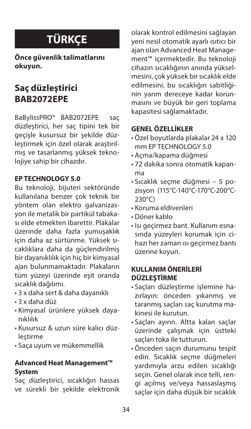# **TÜRKÇE**

**Önce güvenlik talimatlarını okuyun.** 

# **Saç düzleştirici BAB2072EPE**

BaBylissPRO® BAB2072EPE saç düzleştirici, her saç tipini tek bir geçişle kusursuz bir şekilde düzleştirmek için özel olarak araştırılmış ve tasarlanmış yüksek teknolojiye sahip bir cihazdır.

#### **EP TECHNOLOGY 5.0**

Bu teknoloji, bijuteri sektöründe kullanılana benzer çok teknik bir yöntem olan elektro galvanizasyon ile metalik bir partikül tabakası elde etmekten ibarettir. Plakalar üzerinde daha fazla yumuşaklık için daha az sürtünme. Yüksek sıcaklıklara daha da güçlendirilmiş bir dayanıklılık için hiç bir kimyasal ajan bulunmamaktadır. Plakaların tüm yüzeyi üzerinde eşit oranda sıcaklık dağılımı.

- 3 x daha sert & daha dayanıklı
- 3 x daha düz
- Kimyasal ürünlere yüksek dayanıklılık
- Kusursuz & uzun süre kalıcı düzlestirme
- Saça uyum ve mükemmellik

#### **Advanced Heat Management™ System**

Saç düzleştirici, sıcaklığın hassas ve sürekli bir şekilde elektronik olarak kontrol edilmesini sağlayan yeni nesil otomatik ayarlı ısıtıcı bir ajan olan Advanced Heat Management™ içermektedir. Bu teknoloji cihazın sıcaklığının anında yükselmesini, çok yüksek bir sıcaklık elde edilmesini, bu sıcaklığın sabitliğinin yarım dereceye kadar korunmasını ve büyük bir geri toplama kapasitesi sağlamaktadır.

## **GENEL ÖZELLİKLER**

- Özel boyutlarda plakalar 24 x 120 mm EP TECHNOLOGY 5.0
- Açma/kapama düğmesi
- 72 dakika sonra otomatik kapanma
- Sıcaklık seçme düğmesi 5 pozisyon (115°C-140°C-170°C-200°C-230°C)
- Koruma eldivenleri
- Döner kablo
- Isı geçirmez bant. Kullanım esnasında yüzeyleri korumak için cihazı her zaman ısı geçirmez bantı üzerine koyun.

### **KULLANIM ÖNERİLERİ DÜZLEŞTİRME**

- Saçları düzleştirme işlemine hazırlayın: önceden yıkanmış ve taranmış saçları saç kurutma makinesi ile kurutun.
- Saçları ayırın. Altta kalan saçlar üzerinde çalışmak için üstteki saçları toka ile tutturun.
- Önceden saçın durumunu tespit edin. Sıcaklık seçme düğmeleri yardımıyla arzu edilen sıcaklığı seçin. Genel olarak ince telli, rengi açılmış ve/veya hassaslaşmış saçlar için daha düşük bir sıcaklık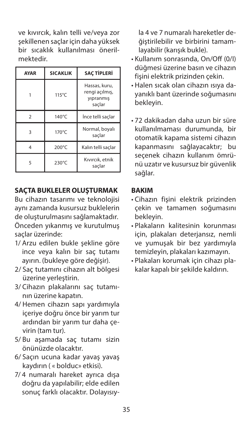ve kıvırcık, kalın telli ve/veya zor şekillenen saçlar için daha yüksek bir sıcaklık kullanılması önerilmektedir.

| <b>AYAR</b>    | <b>SICAKLIK</b> | <b>SAC TIPLERI</b>                                     |
|----------------|-----------------|--------------------------------------------------------|
|                | 115°C           | Hassas, kuru,<br>rengi açılmış,<br>yıpranmış<br>saclar |
| $\mathfrak{p}$ | 140°C           | İnce telli saçlar                                      |
| 3              | $170^{\circ}$ C | Normal, boyalı<br>saçlar                               |
| 4              | 200°C           | Kalın telli saçlar                                     |
| ς              | 230°C           | Kıvırcık, etnik<br>saclar                              |

#### **SAÇTA BUKLELER OLUŞTURMAK**

Bu cihazın tasarımı ve teknolojisi aynı zamanda kusursuz buklelerin de oluşturulmasını sağlamaktadır. Önceden yıkanmış ve kurutulmuş saçlar üzerinde:

- 1/ Arzu edilen bukle şekline göre ince veya kalın bir saç tutamı ayırın. (bukleye göre değişir).
- 2/ Saç tutamını cihazın alt bölgesi üzerine yerleştirin.
- 3/ Cihazın plakalarını saç tutamının üzerine kapatın.
- 4/ Hemen cihazın sapı yardımıyla içeriye doğru önce bir yarım tur ardından bir yarım tur daha çevirin (tam tur).
- 5/ Bu aşamada saç tutamı sizin önünüzde olacaktır.
- 6/ Saçın ucuna kadar yavaş yavaş kaydırın ( « bolduc» etkisi).
- 7/ 4 numaralı hareket ayrıca dışa doğru da yapılabilir; elde edilen sonuç farklı olacaktır. Dolayısıy-

la 4 ve 7 numaralı hareketler değiştirilebilir ve birbirini tamamlayabilir (karışık bukle).

- Kullanım sonrasında, On/Off (0/I) düğmesi üzerine basın ve cihazın fişini elektrik prizinden çekin.
- Halen sıcak olan cihazın ısıya dayanıklı bant üzerinde soğumasını bekleyin.
- 72 dakikadan daha uzun bir süre kullanılmaması durumunda, bir otomatik kapama sistemi cihazın kapanmasını sağlayacaktır; bu seçenek cihazın kullanım ömrünü uzatır ve kusursuz bir güvenlik sağlar.

#### **BAKIM**

- Cihazın fişini elektrik prizinden çekin ve tamamen soğumasını bekleyin.
- Plakaların kalitesinin korunması için, plakaları deterjansız, nemli ve yumuşak bir bez yardımıyla temizleyin, plakaları kazımayın.
- Plakaları korumak için cihazı plakalar kapalı bir şekilde kaldırın.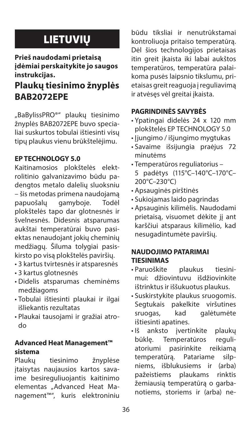# **LIETUVIU**

### **Prieš naudodami prietaisą įdėmiai perskaitykite jo saugos instrukcijas.**

# **Plaukų tiesinimo žnyplės BAB2072EPE**

"BaBylissPRO®" plaukų tiesinimo žnyplės BAB2072EPE buvo specialiai suskurtos tobulai ištiesinti visų tipų plaukus vienu brūkštelėjimu.

## **EP TECHNOLOGY 5.0**

Kaitinamosios plokštelės elektrolitinio galvanizavimo būdu padengtos metalo dalelių sluoksniu – šis metodas primena naudojamą papuošalų gamyboje. Todėl plokštelės tapo dar glotnesnės ir švelnesnės. Didesnis atsparumas aukštai temperatūrai buvo pasiektas nenaudojant jokių cheminių medžiagų. Šiluma tolygiai pasiskirsto po visą plokštelės paviršių.

- 3 kartus tvirtesnės ir atsparesnės
- 3 kartus glotnesnės
- Didelis atsparumas cheminėms medžiagoms
- Tobulai ištiesinti plaukai ir ilgai išliekantis rezultatas
- Plaukai tausojami ir gražiai atrodo

### **Advanced Heat Management™ sistema**

Plaukų tiesinimo žnyplėse įtaisytas naujausios kartos savaime besireguliuojantis kaitinimo elementas "Advanced Heat Management™", kuris elektroniniu

būdu tiksliai ir nenutrūkstamai kontroliuoja pritaiso temperatūrą. Dėl šios technologijos prietaisas itin greit įkaista iki labai aukštos temperatūros, temperatūra palaikoma pusės laipsnio tikslumu, prietaisas greit reaguoja į reguliavimą ir atvėsęs vėl greitai įkaista.

## **PAGRINDINĖS SAVYBĖS**

- Ypatingai didelės 24 x 120 mm plokštelės EP TECHNOLOGY 5.0
- Įjungimo / išjungimo mygtukas
- Savaime išsijungia praėjus 72 minutėms
- Temperatūros reguliatorius 5 padėtys (115°C–140°C–170°C– 200°C–230°C)
- Apsauginės pirštinės
- Sukiojamas laido pagrindas
- Apsauginis kilimėlis. Naudodami prietaisą, visuomet dėkite jį ant karščiui atsparaus kilimėlio, kad nesugadintumėte paviršių.

### **NAUDOJIMO PATARIMAI TIESINIMAS**

- Paruoškite plaukus tiesinimui: džiovintuvu išdžiovinkite ištrinktus ir iššukuotus plaukus.
- Suskirstykite plaukus sruogomis. Segtukais pakelkite viršutines sruogas, kad galėtumėte ištiesinti apatines.
- Iš anksto įvertinkite plaukų būklę. Temperatūros reguliatoriumi pasirinkite reikiamą temperatūrą. Patariame silpniems, išblukusiems ir (arba) pažeistiems plaukams rinktis žemiausią temperatūrą o garbanotiems, storiems ir (arba) ne-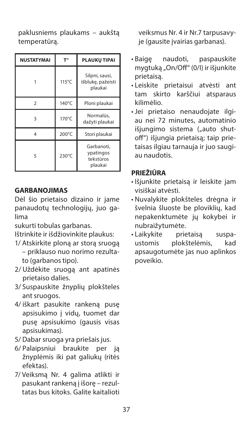paklusniems plaukams – aukštą temperatūrą.

| NUSTATYMAI    | T°    | PLAUKŲ TIPAI                                    |
|---------------|-------|-------------------------------------------------|
|               | 115°C | Silpni, sausi,<br>išblukę, pažeisti<br>plaukai  |
| $\mathcal{P}$ | 140°C | Ploni plaukai                                   |
| 3             | 170°C | Normalūs,<br>dažyti plaukai                     |
| 4             | 200°C | Stori plaukai                                   |
| 5             | 230°C | Garbanoti.<br>ypatingos<br>tekstūros<br>plaukai |

#### **GARBANOJIMAS**

Dėl šio prietaiso dizaino ir jame panaudotų technologijų, juo galima

sukurti tobulas garbanas.

Ištrinkite ir išdžiovinkite plaukus:

- 1/ Atskirkite ploną ar storą sruogą – priklauso nuo norimo rezultato (garbanos tipo).
- 2/ Uždėkite sruogą ant apatinės prietaiso dalies.
- 3/ Suspauskite žnyplių plokšteles ant sruogos.
- 4/ iškart pasukite rankeną pusę apsisukimo į vidų, tuomet dar pusę apsisukimo (gausis visas apsisukimas).
- 5/ Dabar sruoga yra priešais jus.
- 6/ Palaipsniui braukite per ją žnyplėmis iki pat galiukų (ritės efektas).
- 7/ Veiksmą Nr. 4 galima atlikti ir pasukant rankeną į išorę – rezultatas bus kitoks. Galite kaitalioti

veiksmus Nr. 4 ir Nr.7 tarpusavyje (gausite įvairias garbanas).

- Baigę naudoti, paspauskite mygtuką "On/Off" (0/I) ir išjunkite prietaisą.
- Leiskite prietaisui atvėsti ant tam skirto karščiui atsparaus kilimėlio.
- Jei prietaiso nenaudojate ilgiau nei 72 minutes, automatinio išiungimo sistema ("auto shutoff") išjungia prietaisą; taip prietaisas ilgiau tarnauja ir juo saugiau naudotis.

### **PRIEŽIŪRA**

- Išjunkite prietaisą ir leiskite jam visiškai atvėsti.
- Nuvalykite plokšteles drėgna ir švelnia šluoste be ploviklių, kad nepakenktumėte jų kokybei ir nubraižytumėte.
- Laikykite prietaisą suspaplokštelėmis, kad apsaugotumėte jas nuo aplinkos poveikio.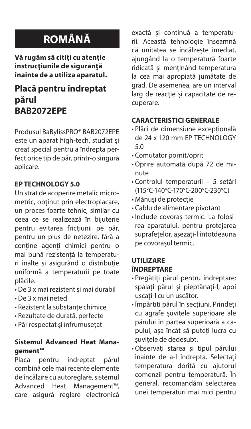# **ROMÂNĂ**

**Vă rugăm să citiţi cu atenţie instrucţiunile de siguranţă înainte de a utiliza aparatul.**

## **Placă pentru îndreptat părul BAB2072EPE**

Produsul BaBylissPRO® BAB2072EPE este un aparat high-tech, studiat și creat special pentru a îndrepta perfect orice tip de păr, printr-o singură aplicare.

#### **EP TECHNOLOGY 5.0**

Un strat de acoperire metalic micrometric, obținut prin electroplacare, un proces foarte tehnic, similar cu ceea ce se realizează în bijuterie pentru evitarea fricțiunii pe păr, pentru un plus de netezire, fără a conține agenți chimici pentru o mai bună rezistență la temperaturi înalte și asigurând o distribuție uniformă a temperaturii pe toate plăcile.

- De 3 x mai rezistent și mai durabil
- De 3 x mai neted
- Rezistent la substanțe chimice
- Rezultate de durată, perfecte
- Păr respectat și înfrumusețat

#### **Sistemul Advanced Heat Management™**

Placa pentru îndreptat părul combină cele mai recente elemente de încălzire cu autoreglare, sistemul Advanced Heat Management™, care asigură reglare electronică exactă și continuă a temperaturii. Această tehnologie înseamnă că unitatea se încălzește imediat, ajungând la o temperatură foarte ridicată și menținând temperatura la cea mai apropiată jumătate de grad. De asemenea, are un interval larg de reacție și capacitate de recuperare.

#### **CARACTERISTICI GENERALE**

- Plăci de dimensiune excepțională de 24 x 120 mm EP TECHNOLOGY 5.0
- Comutator pornit/oprit
- Oprire automată după 72 de minute
- Controlul temperaturii 5 setări (115°C-140°C-170°C-200°C-230°C)
- Mănuși de protecție
- Cablu de alimentare pivotant
- Include covoraș termic. La folosirea aparatului, pentru protejarea suprafețelor, așezați-l întotdeauna pe covorașul termic.

### **UTILIZARE ÎNDREPTARE**

- Pregătiți părul pentru îndreptare: spălați părul și pieptănați-l, apoi uscați-l cu un uscător.
- Împărțiți părul în secțiuni. Prindeți cu agrafe șuvițele superioare ale părului în partea superioară a capului, așa încât să puteți lucra cu șuvițele de dedesubt.
- Observați starea și tipul părului înainte de a-l îndrepta. Selectați temperatura dorită cu ajutorul comenzii pentru temperatură. În general, recomandăm selectarea unei temperaturi mai mici pentru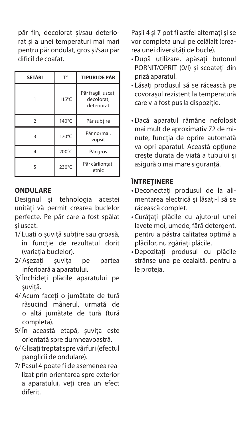păr fin, decolorat și/sau deteriorat și a unei temperaturi mai mari pentru păr ondulat, gros și/sau păr dificil de coafat.

| SETĂRI        | г۰    | <b>TIPURI DE PÃR</b>                           |
|---------------|-------|------------------------------------------------|
|               | 115°C | Păr fragil, uscat,<br>decolorat.<br>deteriorat |
| $\mathcal{P}$ | 140°C | Păr subtire                                    |
| 3             | 170°C | Păr normal,<br>vopsit                          |
| 4             | 200°C | Pär gros                                       |
| ς             | 230°C | Păr cârliontat,<br>etnic                       |

#### **ONDULARE**

Designul și tehnologia acestei unități vă permit crearea buclelor perfecte. Pe păr care a fost spălat și uscat:

- 1/ Luați o șuviță subțire sau groasă, în funcție de rezultatul dorit (variația buclelor).
- 2/ Așezați șuvița pe partea inferioară a aparatului.
- 3/ Închideți plăcile aparatului pe șuviță.
- 4/ Acum faceți o jumătate de tură răsucind mânerul, urmată de o altă jumătate de tură (tură completă).
- 5/ În această etapă, șuvița este orientată spre dumneavoastră.
- 6/ Glisați treptat spre vârfuri (efectul panglicii de ondulare).
- 7/ Pasul 4 poate fi de asemenea realizat prin orientarea spre exterior a aparatului, veți crea un efect diferit.

Pașii 4 și 7 pot fi astfel alternați și se vor completa unul pe celălalt (crearea unei diversități de bucle).

- După utilizare, apăsați butonul PORNIT/OPRIT (0/I) și scoateți din priză aparatul.
- Lăsați produsul să se răcească pe covorașul rezistent la temperatură care v-a fost pus la dispoziție.
- Dacă aparatul rămâne nefolosit mai mult de aproximativ 72 de minute, funcția de oprire automată va opri aparatul. Această opțiune crește durata de viață a tubului și asigură o mai mare siguranță.

### **ÎNTREȚINERE**

- Deconectați produsul de la alimentarea electrică și lăsați-l să se răcească complet.
- Curățați plăcile cu ajutorul unei lavete moi, umede, fără detergent, pentru a păstra calitatea optimă a plăcilor, nu zgâriați plăcile.
- Depozitați produsul cu plăcile strânse una pe cealaltă, pentru a le proteja.